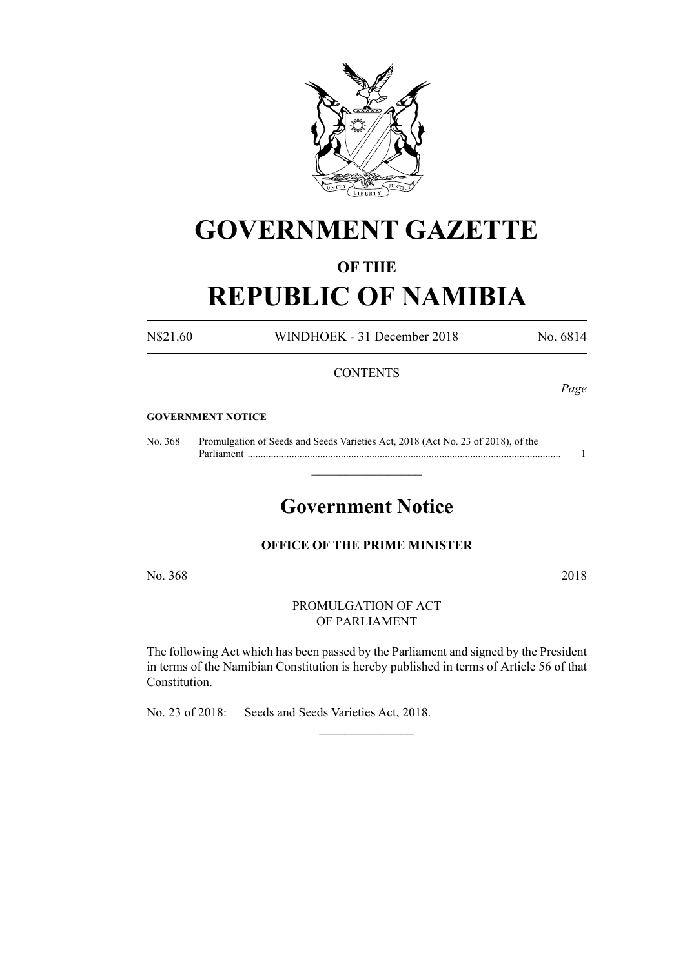

# **GOVERNMENT GAZETTE**

## **OF THE**

# **REPUBLIC OF NAMIBIA**

N\$21.60 WINDHOEK - 31 December 2018 No. 6814

#### **CONTENTS**

*Page*

#### **GOVERNMENT NOTICE**

No. 368 Promulgation of Seeds and Seeds Varieties Act, 2018 (Act No. 23 of 2018), of the Parliament ......................................................................................................................... 1

## **Government Notice**

 $\frac{1}{2}$  ,  $\frac{1}{2}$  ,  $\frac{1}{2}$  ,  $\frac{1}{2}$  ,  $\frac{1}{2}$  ,  $\frac{1}{2}$  ,  $\frac{1}{2}$ 

#### **OFFICE OF THE PRIME MINISTER**

No. 368 2018

PROMULGATION OF ACT OF PARLIAMENT

The following Act which has been passed by the Parliament and signed by the President in terms of the Namibian Constitution is hereby published in terms of Article 56 of that Constitution.

 $\frac{1}{2}$ 

No. 23 of 2018: Seeds and Seeds Varieties Act, 2018.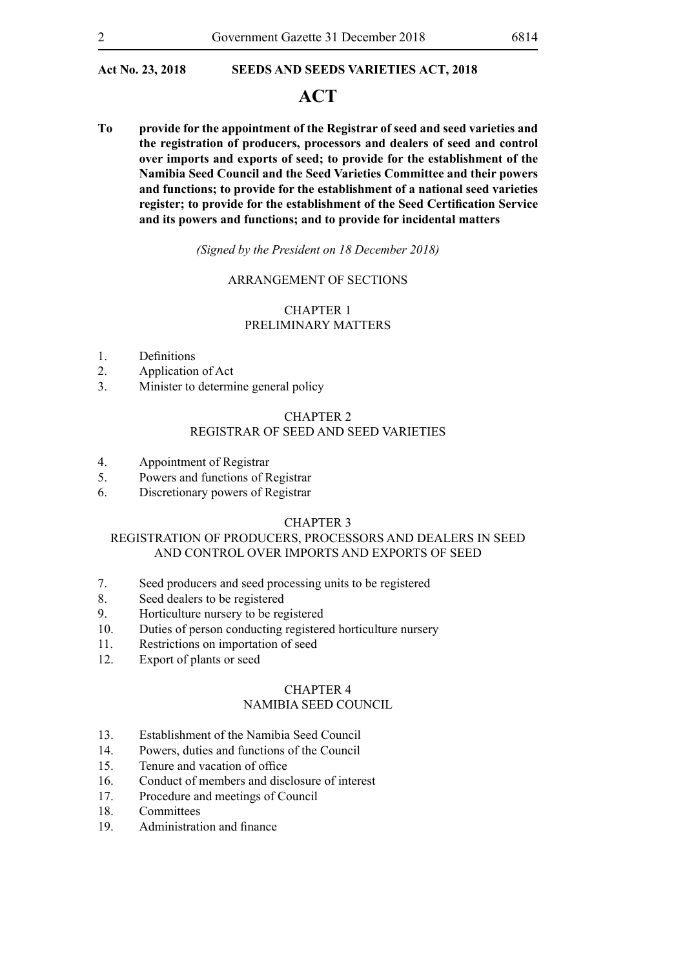## **ACT**

**To provide for the appointment of the Registrar of seed and seed varieties and the registration of producers, processors and dealers of seed and control over imports and exports of seed; to provide for the establishment of the Namibia Seed Council and the Seed Varieties Committee and their powers and functions; to provide for the establishment of a national seed varieties register; to provide for the establishment of the Seed Certification Service and its powers and functions; and to provide for incidental matters**

*(Signed by the President on 18 December 2018)*

#### ARRANGEMENT OF SECTIONS

#### CHAPTER 1 PRELIMINARY MATTERS

- 1. Definitions
- 2. Application of Act
- 3. Minister to determine general policy

#### CHAPTER 2

#### REGISTRAR OF SEED AND SEED VARIETIES

- 4. Appointment of Registrar
- 5. Powers and functions of Registrar
- 6. Discretionary powers of Registrar

#### CHAPTER 3

#### REGISTRATION OF PRODUCERS, PROCESSORS AND DEALERS IN SEED AND CONTROL OVER IMPORTS AND EXPORTS OF SEED

- 7. Seed producers and seed processing units to be registered
- 8. Seed dealers to be registered
- 9. Horticulture nursery to be registered
- 10. Duties of person conducting registered horticulture nursery
- 11. Restrictions on importation of seed
- 12. Export of plants or seed

#### CHAPTER 4

#### NAMIBIA SEED COUNCIL

- 13. Establishment of the Namibia Seed Council
- 14. Powers, duties and functions of the Council
- 15. Tenure and vacation of office
- 16. Conduct of members and disclosure of interest
- 17. Procedure and meetings of Council
- 18. Committees
- 19. Administration and finance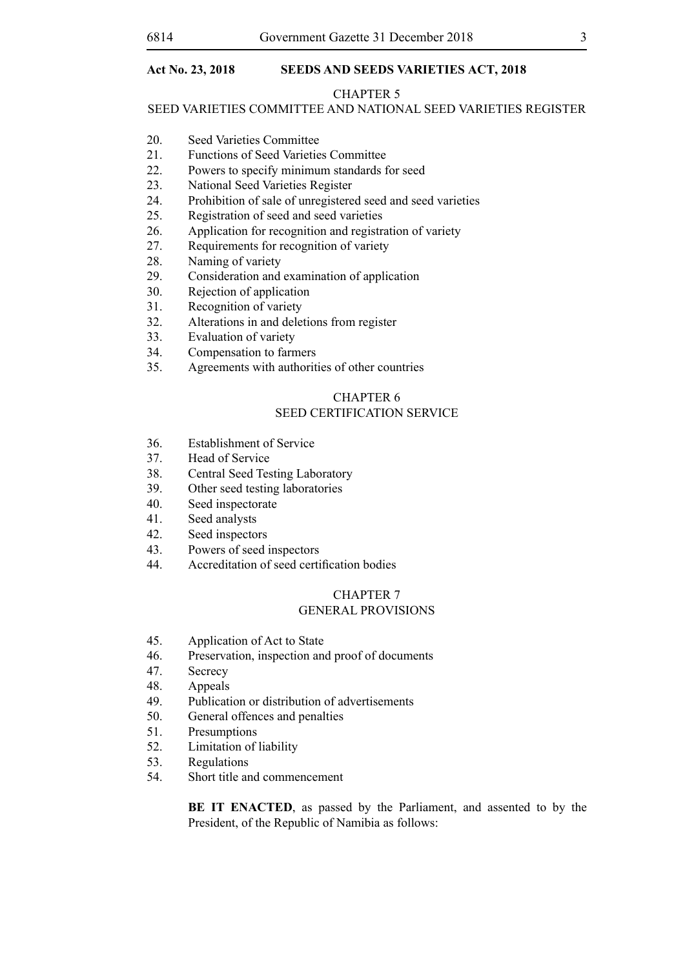#### CHAPTER 5

#### SEED VARIETIES COMMITTEE AND NATIONAL SEED VARIETIES REGISTER

- 20. Seed Varieties Committee
- 21. Functions of Seed Varieties Committee
- 22. Powers to specify minimum standards for seed
- 23. National Seed Varieties Register
- 24. Prohibition of sale of unregistered seed and seed varieties
- 25. Registration of seed and seed varieties
- 26. Application for recognition and registration of variety
- 27. Requirements for recognition of variety
- 28. Naming of variety
- 29. Consideration and examination of application
- 30. Rejection of application
- 31. Recognition of variety
- 32. Alterations in and deletions from register
- 33. Evaluation of variety
- 34. Compensation to farmers
- 35. Agreements with authorities of other countries

## CHAPTER 6

### SEED CERTIFICATION SERVICE

- 36. Establishment of Service
- 37. Head of Service
- 38. Central Seed Testing Laboratory
- 39. Other seed testing laboratories
- 40. Seed inspectorate
- 41. Seed analysts
- 42. Seed inspectors
- 43. Powers of seed inspectors
- 44. Accreditation of seed certification bodies

#### CHAPTER 7 GENERAL PROVISIONS

- 45. Application of Act to State
- 46. Preservation, inspection and proof of documents
- 47. Secrecy
- 48. Appeals
- 49. Publication or distribution of advertisements
- 50. General offences and penalties
- 51. Presumptions
- 52. Limitation of liability
- 53. Regulations
- 54. Short title and commencement

**BE IT ENACTED**, as passed by the Parliament, and assented to by the President, of the Republic of Namibia as follows: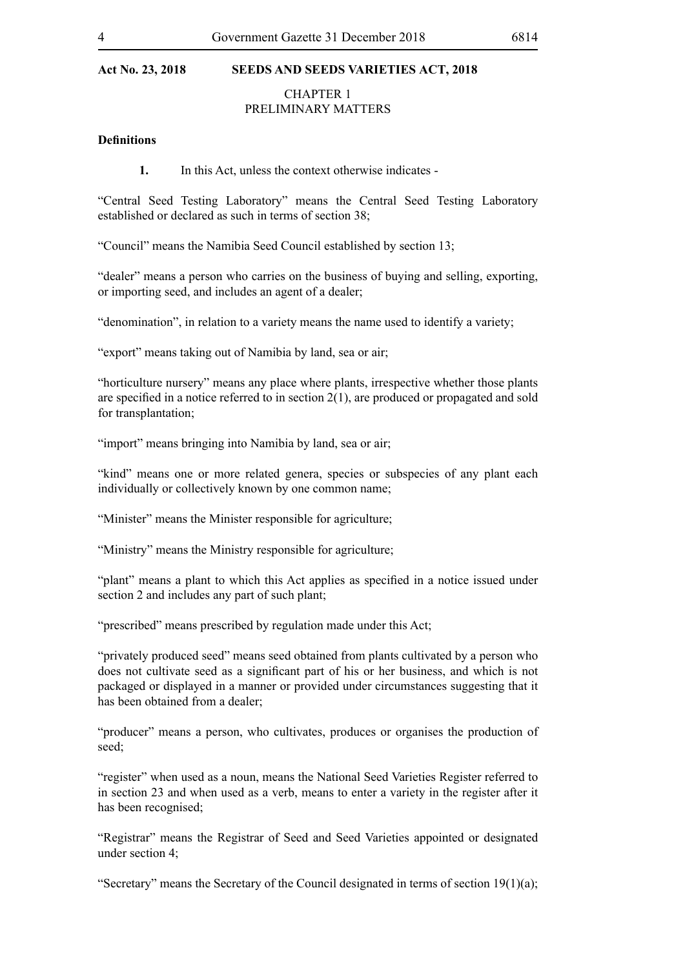#### CHAPTER 1 PRELIMINARY MATTERS

#### **Definitions**

**1.** In this Act, unless the context otherwise indicates -

"Central Seed Testing Laboratory" means the Central Seed Testing Laboratory established or declared as such in terms of section 38;

"Council" means the Namibia Seed Council established by section 13;

"dealer" means a person who carries on the business of buying and selling, exporting, or importing seed, and includes an agent of a dealer;

"denomination", in relation to a variety means the name used to identify a variety;

"export" means taking out of Namibia by land, sea or air;

"horticulture nursery" means any place where plants, irrespective whether those plants are specified in a notice referred to in section 2(1), are produced or propagated and sold for transplantation;

"import" means bringing into Namibia by land, sea or air;

"kind" means one or more related genera, species or subspecies of any plant each individually or collectively known by one common name;

"Minister" means the Minister responsible for agriculture;

"Ministry" means the Ministry responsible for agriculture;

"plant" means a plant to which this Act applies as specified in a notice issued under section 2 and includes any part of such plant;

"prescribed" means prescribed by regulation made under this Act;

"privately produced seed" means seed obtained from plants cultivated by a person who does not cultivate seed as a significant part of his or her business, and which is not packaged or displayed in a manner or provided under circumstances suggesting that it has been obtained from a dealer;

"producer" means a person, who cultivates, produces or organises the production of seed;

"register" when used as a noun, means the National Seed Varieties Register referred to in section 23 and when used as a verb, means to enter a variety in the register after it has been recognised;

"Registrar" means the Registrar of Seed and Seed Varieties appointed or designated under section 4;

"Secretary" means the Secretary of the Council designated in terms of section  $19(1)(a)$ ;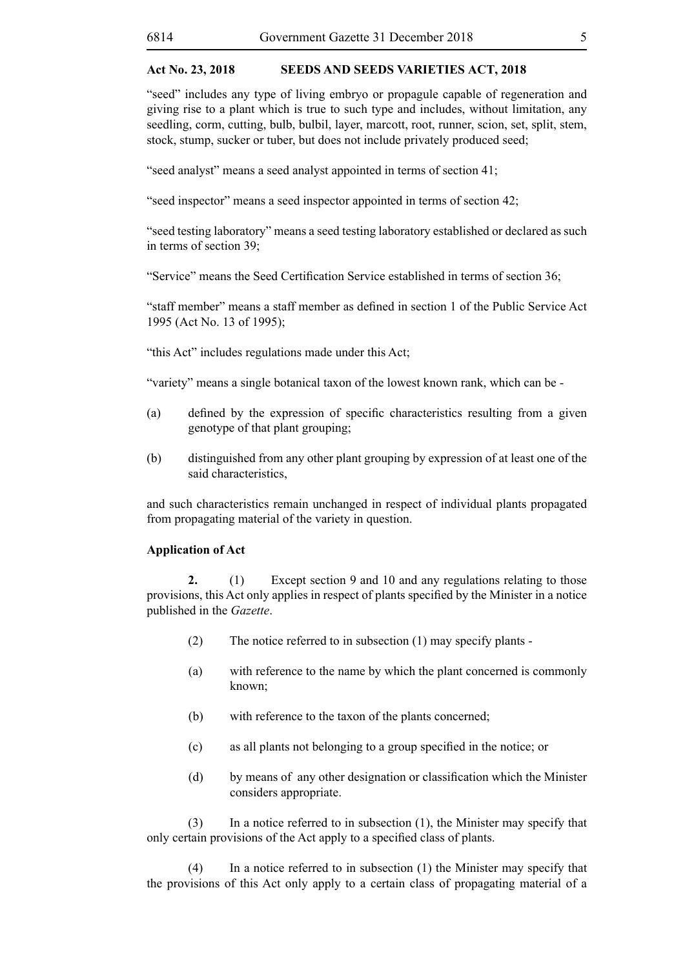"seed" includes any type of living embryo or propagule capable of regeneration and giving rise to a plant which is true to such type and includes, without limitation, any seedling, corm, cutting, bulb, bulbil, layer, marcott, root, runner, scion, set, split, stem, stock, stump, sucker or tuber, but does not include privately produced seed;

"seed analyst" means a seed analyst appointed in terms of section 41;

"seed inspector" means a seed inspector appointed in terms of section 42;

"seed testing laboratory" means a seed testing laboratory established or declared as such in terms of section 39;

"Service" means the Seed Certification Service established in terms of section 36;

"staff member" means a staff member as defined in section 1 of the Public Service Act 1995 (Act No. 13 of 1995);

"this Act" includes regulations made under this Act;

"variety" means a single botanical taxon of the lowest known rank, which can be -

- (a) defined by the expression of specific characteristics resulting from a given genotype of that plant grouping;
- (b) distinguished from any other plant grouping by expression of at least one of the said characteristics,

and such characteristics remain unchanged in respect of individual plants propagated from propagating material of the variety in question.

#### **Application of Act**

**2.** (1) Except section 9 and 10 and any regulations relating to those provisions, this Act only applies in respect of plants specified by the Minister in a notice published in the *Gazette*.

- (2) The notice referred to in subsection (1) may specify plants -
- (a) with reference to the name by which the plant concerned is commonly known;
- (b) with reference to the taxon of the plants concerned;
- (c) as all plants not belonging to a group specified in the notice; or
- (d) by means of any other designation or classification which the Minister considers appropriate.

(3) In a notice referred to in subsection (1), the Minister may specify that only certain provisions of the Act apply to a specified class of plants.

(4) In a notice referred to in subsection (1) the Minister may specify that the provisions of this Act only apply to a certain class of propagating material of a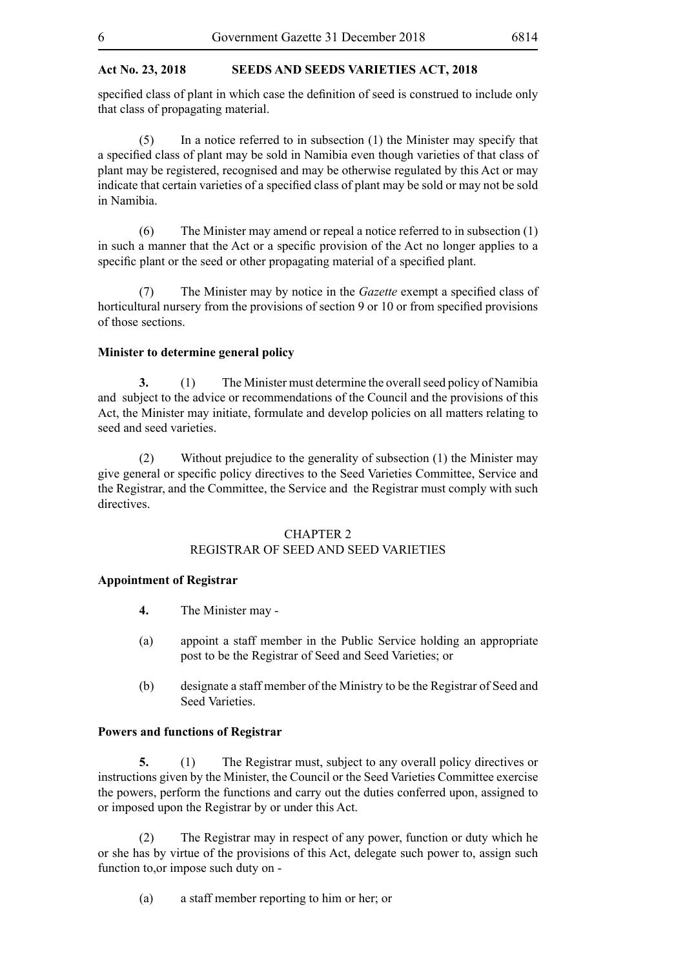specified class of plant in which case the definition of seed is construed to include only that class of propagating material.

(5) In a notice referred to in subsection (1) the Minister may specify that a specified class of plant may be sold in Namibia even though varieties of that class of plant may be registered, recognised and may be otherwise regulated by this Act or may indicate that certain varieties of a specified class of plant may be sold or may not be sold in Namibia.

(6) The Minister may amend or repeal a notice referred to in subsection (1) in such a manner that the Act or a specific provision of the Act no longer applies to a specific plant or the seed or other propagating material of a specified plant.

(7) The Minister may by notice in the *Gazette* exempt a specified class of horticultural nursery from the provisions of section 9 or 10 or from specified provisions of those sections.

#### **Minister to determine general policy**

**3.** (1) The Minister must determine the overall seed policy of Namibia and subject to the advice or recommendations of the Council and the provisions of this Act, the Minister may initiate, formulate and develop policies on all matters relating to seed and seed varieties.

(2) Without prejudice to the generality of subsection (1) the Minister may give general or specific policy directives to the Seed Varieties Committee, Service and the Registrar, and the Committee, the Service and the Registrar must comply with such directives.

#### CHAPTER 2

#### REGISTRAR OF SEED AND SEED VARIETIES

#### **Appointment of Registrar**

- **4.** The Minister may -
- (a) appoint a staff member in the Public Service holding an appropriate post to be the Registrar of Seed and Seed Varieties; or
- (b) designate a staff member of the Ministry to be the Registrar of Seed and Seed Varieties.

#### **Powers and functions of Registrar**

**5.** (1) The Registrar must, subject to any overall policy directives or instructions given by the Minister, the Council or the Seed Varieties Committee exercise the powers, perform the functions and carry out the duties conferred upon, assigned to or imposed upon the Registrar by or under this Act.

(2) The Registrar may in respect of any power, function or duty which he or she has by virtue of the provisions of this Act, delegate such power to, assign such function to,or impose such duty on -

(a) a staff member reporting to him or her; or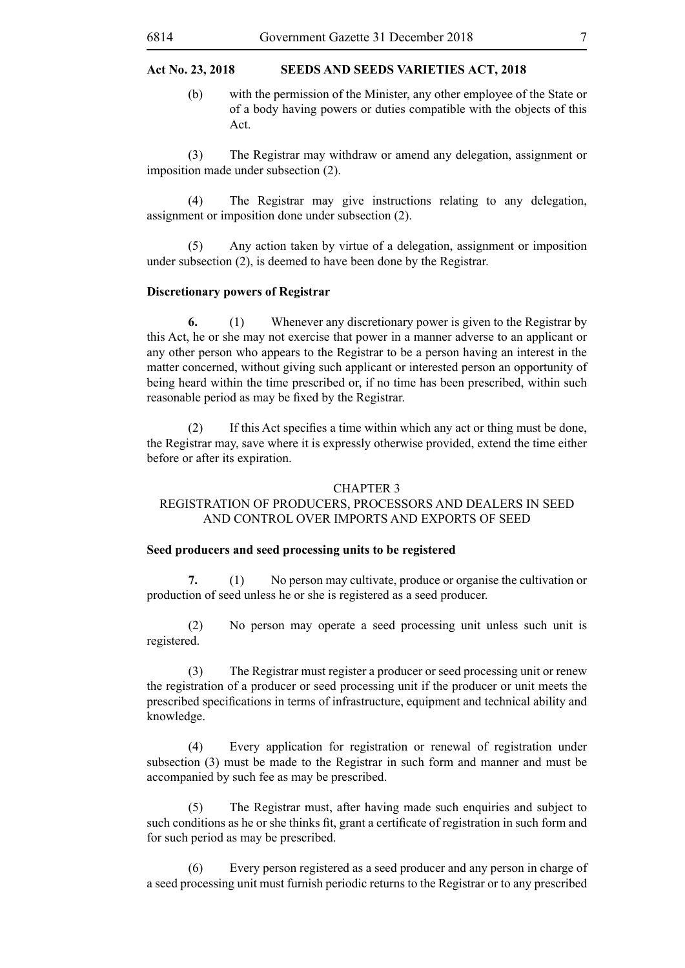(b) with the permission of the Minister, any other employee of the State or of a body having powers or duties compatible with the objects of this Act.

(3) The Registrar may withdraw or amend any delegation, assignment or imposition made under subsection (2).

(4) The Registrar may give instructions relating to any delegation, assignment or imposition done under subsection (2).

(5) Any action taken by virtue of a delegation, assignment or imposition under subsection (2), is deemed to have been done by the Registrar.

#### **Discretionary powers of Registrar**

**6.** (1) Whenever any discretionary power is given to the Registrar by this Act, he or she may not exercise that power in a manner adverse to an applicant or any other person who appears to the Registrar to be a person having an interest in the matter concerned, without giving such applicant or interested person an opportunity of being heard within the time prescribed or, if no time has been prescribed, within such reasonable period as may be fixed by the Registrar.

(2) If this Act specifies a time within which any act or thing must be done, the Registrar may, save where it is expressly otherwise provided, extend the time either before or after its expiration.

#### CHAPTER 3

#### REGISTRATION OF PRODUCERS, PROCESSORS AND DEALERS IN SEED AND CONTROL OVER IMPORTS AND EXPORTS OF SEED

#### **Seed producers and seed processing units to be registered**

**7.** (1) No person may cultivate, produce or organise the cultivation or production of seed unless he or she is registered as a seed producer.

(2) No person may operate a seed processing unit unless such unit is registered.

(3) The Registrar must register a producer or seed processing unit or renew the registration of a producer or seed processing unit if the producer or unit meets the prescribed specifications in terms of infrastructure, equipment and technical ability and knowledge.

(4) Every application for registration or renewal of registration under subsection (3) must be made to the Registrar in such form and manner and must be accompanied by such fee as may be prescribed.

(5) The Registrar must, after having made such enquiries and subject to such conditions as he or she thinks fit, grant a certificate of registration in such form and for such period as may be prescribed.

(6) Every person registered as a seed producer and any person in charge of a seed processing unit must furnish periodic returns to the Registrar or to any prescribed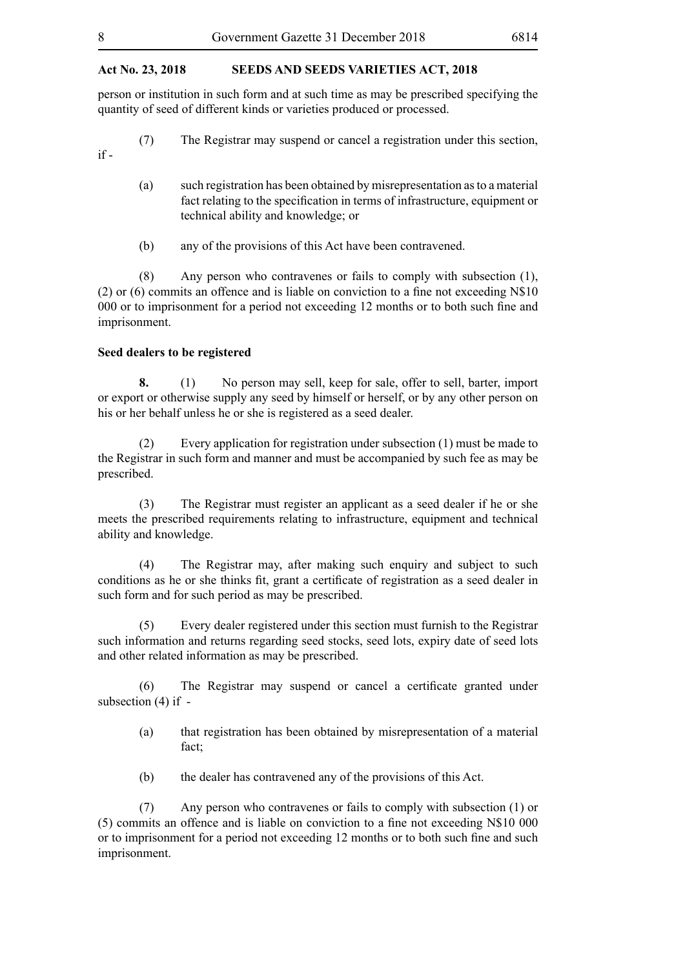person or institution in such form and at such time as may be prescribed specifying the quantity of seed of different kinds or varieties produced or processed.

- (7) The Registrar may suspend or cancel a registration under this section, if -
	- (a) such registration has been obtained by misrepresentation as to a material fact relating to the specification in terms of infrastructure, equipment or technical ability and knowledge; or
	- (b) any of the provisions of this Act have been contravened.

(8) Any person who contravenes or fails to comply with subsection (1), (2) or (6) commits an offence and is liable on conviction to a fine not exceeding N\$10 000 or to imprisonment for a period not exceeding 12 months or to both such fine and imprisonment.

#### **Seed dealers to be registered**

**8.** (1) No person may sell, keep for sale, offer to sell, barter, import or export or otherwise supply any seed by himself or herself, or by any other person on his or her behalf unless he or she is registered as a seed dealer.

(2) Every application for registration under subsection (1) must be made to the Registrar in such form and manner and must be accompanied by such fee as may be prescribed.

(3) The Registrar must register an applicant as a seed dealer if he or she meets the prescribed requirements relating to infrastructure, equipment and technical ability and knowledge.

(4) The Registrar may, after making such enquiry and subject to such conditions as he or she thinks fit, grant a certificate of registration as a seed dealer in such form and for such period as may be prescribed.

(5) Every dealer registered under this section must furnish to the Registrar such information and returns regarding seed stocks, seed lots, expiry date of seed lots and other related information as may be prescribed.

 (6) The Registrar may suspend or cancel a certificate granted under subsection (4) if -

- (a) that registration has been obtained by misrepresentation of a material fact;
- (b) the dealer has contravened any of the provisions of this Act.

(7) Any person who contravenes or fails to comply with subsection (1) or (5) commits an offence and is liable on conviction to a fine not exceeding N\$10 000 or to imprisonment for a period not exceeding 12 months or to both such fine and such imprisonment.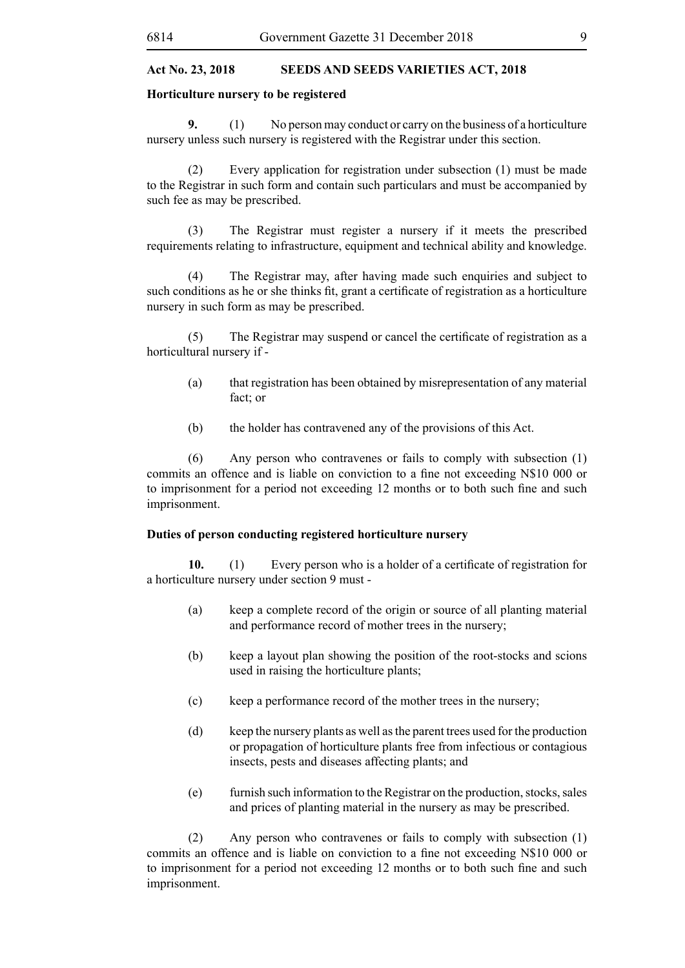#### **Horticulture nursery to be registered**

**9.** (1) No person may conduct or carry on the business of a horticulture nursery unless such nursery is registered with the Registrar under this section.

(2) Every application for registration under subsection (1) must be made to the Registrar in such form and contain such particulars and must be accompanied by such fee as may be prescribed.

(3) The Registrar must register a nursery if it meets the prescribed requirements relating to infrastructure, equipment and technical ability and knowledge.

(4) The Registrar may, after having made such enquiries and subject to such conditions as he or she thinks fit, grant a certificate of registration as a horticulture nursery in such form as may be prescribed.

 (5) The Registrar may suspend or cancel the certificate of registration as a horticultural nursery if -

- (a) that registration has been obtained by misrepresentation of any material fact; or
- (b) the holder has contravened any of the provisions of this Act.

(6) Any person who contravenes or fails to comply with subsection (1) commits an offence and is liable on conviction to a fine not exceeding N\$10 000 or to imprisonment for a period not exceeding 12 months or to both such fine and such imprisonment.

#### **Duties of person conducting registered horticulture nursery**

**10.** (1) Every person who is a holder of a certificate of registration for a horticulture nursery under section 9 must -

- (a) keep a complete record of the origin or source of all planting material and performance record of mother trees in the nursery;
- (b) keep a layout plan showing the position of the root-stocks and scions used in raising the horticulture plants;
- (c) keep a performance record of the mother trees in the nursery;
- (d) keep the nursery plants as well as the parent trees used for the production or propagation of horticulture plants free from infectious or contagious insects, pests and diseases affecting plants; and
- (e) furnish such information to the Registrar on the production, stocks, sales and prices of planting material in the nursery as may be prescribed.

(2) Any person who contravenes or fails to comply with subsection (1) commits an offence and is liable on conviction to a fine not exceeding N\$10 000 or to imprisonment for a period not exceeding 12 months or to both such fine and such imprisonment.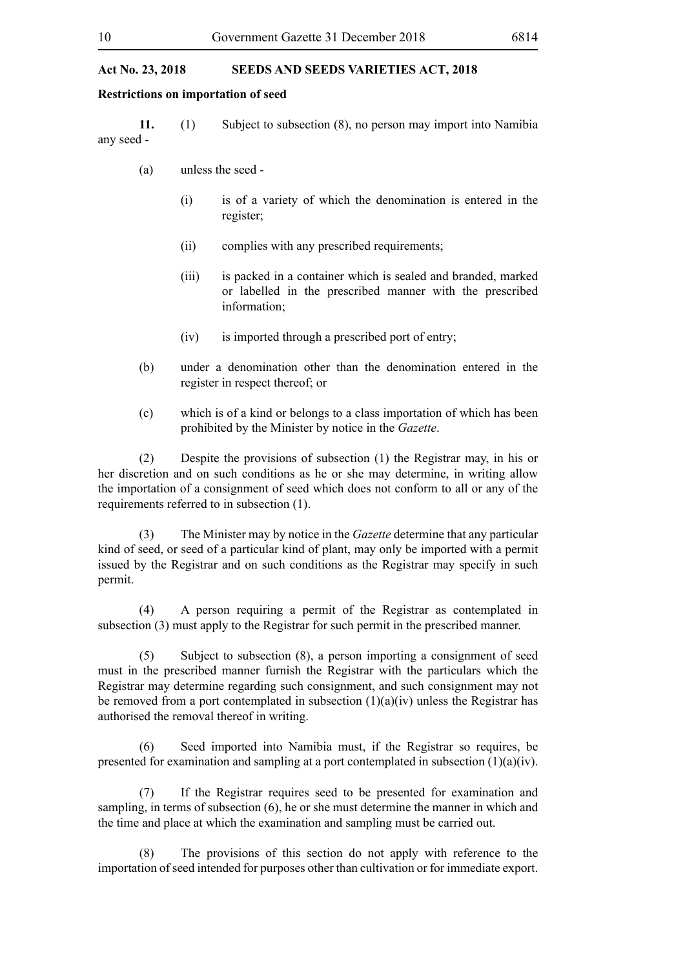#### **Restrictions on importation of seed**

**11.** (1) Subject to subsection (8), no person may import into Namibia any seed -

- (a) unless the seed
	- (i) is of a variety of which the denomination is entered in the register;
	- (ii) complies with any prescribed requirements;
	- (iii) is packed in a container which is sealed and branded, marked or labelled in the prescribed manner with the prescribed information;
	- (iv) is imported through a prescribed port of entry;
- (b) under a denomination other than the denomination entered in the register in respect thereof; or
- (c) which is of a kind or belongs to a class importation of which has been prohibited by the Minister by notice in the *Gazette*.

(2) Despite the provisions of subsection (1) the Registrar may, in his or her discretion and on such conditions as he or she may determine, in writing allow the importation of a consignment of seed which does not conform to all or any of the requirements referred to in subsection (1).

(3) The Minister may by notice in the *Gazette* determine that any particular kind of seed, or seed of a particular kind of plant, may only be imported with a permit issued by the Registrar and on such conditions as the Registrar may specify in such permit.

(4) A person requiring a permit of the Registrar as contemplated in subsection (3) must apply to the Registrar for such permit in the prescribed manner.

(5) Subject to subsection (8), a person importing a consignment of seed must in the prescribed manner furnish the Registrar with the particulars which the Registrar may determine regarding such consignment, and such consignment may not be removed from a port contemplated in subsection  $(1)(a)(iv)$  unless the Registrar has authorised the removal thereof in writing.

(6) Seed imported into Namibia must, if the Registrar so requires, be presented for examination and sampling at a port contemplated in subsection  $(1)(a)(iv)$ .

(7) If the Registrar requires seed to be presented for examination and sampling, in terms of subsection (6), he or she must determine the manner in which and the time and place at which the examination and sampling must be carried out.

(8) The provisions of this section do not apply with reference to the importation of seed intended for purposes other than cultivation or for immediate export.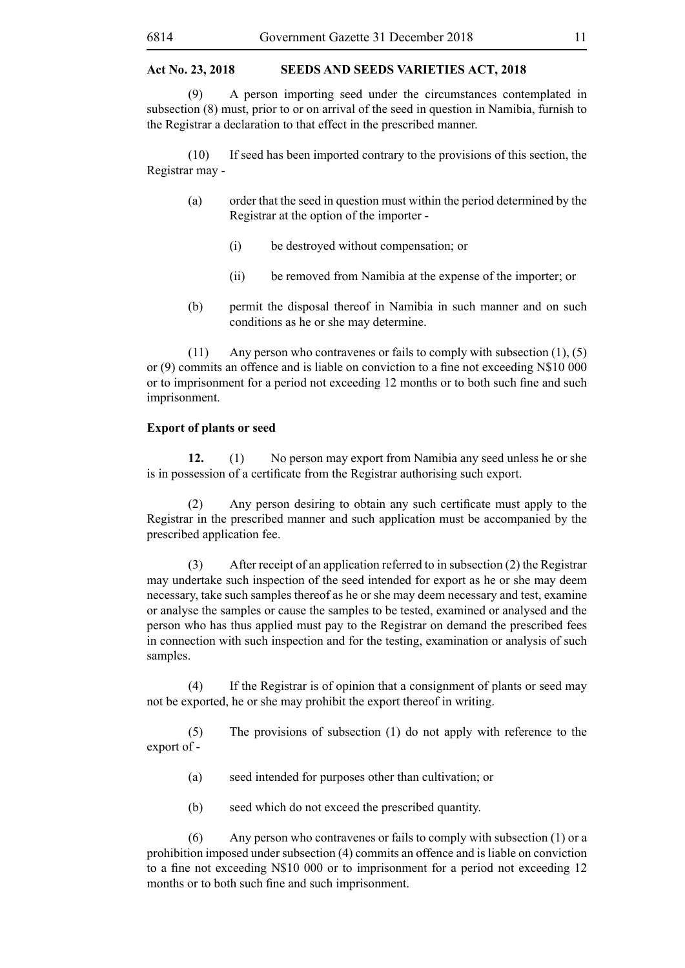(9) A person importing seed under the circumstances contemplated in subsection (8) must, prior to or on arrival of the seed in question in Namibia, furnish to the Registrar a declaration to that effect in the prescribed manner.

(10) If seed has been imported contrary to the provisions of this section, the Registrar may -

- (a) order that the seed in question must within the period determined by the Registrar at the option of the importer -
	- (i) be destroyed without compensation; or
	- (ii) be removed from Namibia at the expense of the importer; or
- (b) permit the disposal thereof in Namibia in such manner and on such conditions as he or she may determine.

(11) Any person who contravenes or fails to comply with subsection (1), (5) or (9) commits an offence and is liable on conviction to a fine not exceeding N\$10 000 or to imprisonment for a period not exceeding 12 months or to both such fine and such imprisonment.

#### **Export of plants or seed**

**12.** (1) No person may export from Namibia any seed unless he or she is in possession of a certificate from the Registrar authorising such export.

 (2) Any person desiring to obtain any such certificate must apply to the Registrar in the prescribed manner and such application must be accompanied by the prescribed application fee.

(3) After receipt of an application referred to in subsection (2) the Registrar may undertake such inspection of the seed intended for export as he or she may deem necessary, take such samples thereof as he or she may deem necessary and test, examine or analyse the samples or cause the samples to be tested, examined or analysed and the person who has thus applied must pay to the Registrar on demand the prescribed fees in connection with such inspection and for the testing, examination or analysis of such samples.

(4) If the Registrar is of opinion that a consignment of plants or seed may not be exported, he or she may prohibit the export thereof in writing.

(5) The provisions of subsection (1) do not apply with reference to the export of -

- (a) seed intended for purposes other than cultivation; or
- (b) seed which do not exceed the prescribed quantity.

(6) Any person who contravenes or fails to comply with subsection (1) or a prohibition imposed under subsection (4) commits an offence and is liable on conviction to a fine not exceeding N\$10 000 or to imprisonment for a period not exceeding 12 months or to both such fine and such imprisonment.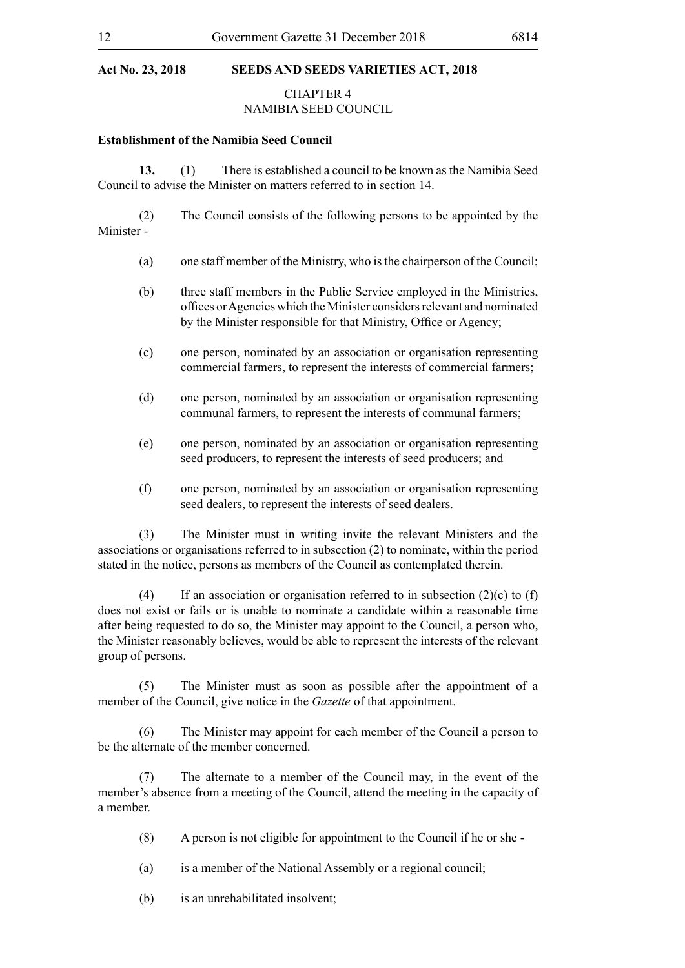## CHAPTER 4

## NAMIBIA SEED COUNCIL

#### **Establishment of the Namibia Seed Council**

**13.** (1) There is established a council to be known as the Namibia Seed Council to advise the Minister on matters referred to in section 14.

(2) The Council consists of the following persons to be appointed by the Minister -

- (a) one staff member of the Ministry, who is the chairperson of the Council;
- (b) three staff members in the Public Service employed in the Ministries, offices or Agencies which the Minister considers relevant and nominated by the Minister responsible for that Ministry, Office or Agency;
- (c) one person, nominated by an association or organisation representing commercial farmers, to represent the interests of commercial farmers;
- (d) one person, nominated by an association or organisation representing communal farmers, to represent the interests of communal farmers;
- (e) one person, nominated by an association or organisation representing seed producers, to represent the interests of seed producers; and
- (f) one person, nominated by an association or organisation representing seed dealers, to represent the interests of seed dealers.

(3) The Minister must in writing invite the relevant Ministers and the associations or organisations referred to in subsection (2) to nominate, within the period stated in the notice, persons as members of the Council as contemplated therein.

(4) If an association or organisation referred to in subsection  $(2)(c)$  to  $(f)$ does not exist or fails or is unable to nominate a candidate within a reasonable time after being requested to do so, the Minister may appoint to the Council, a person who, the Minister reasonably believes, would be able to represent the interests of the relevant group of persons.

(5) The Minister must as soon as possible after the appointment of a member of the Council, give notice in the *Gazette* of that appointment.

(6) The Minister may appoint for each member of the Council a person to be the alternate of the member concerned.

(7) The alternate to a member of the Council may, in the event of the member's absence from a meeting of the Council, attend the meeting in the capacity of a member.

- (8) A person is not eligible for appointment to the Council if he or she -
- (a) is a member of the National Assembly or a regional council;
- (b) is an unrehabilitated insolvent;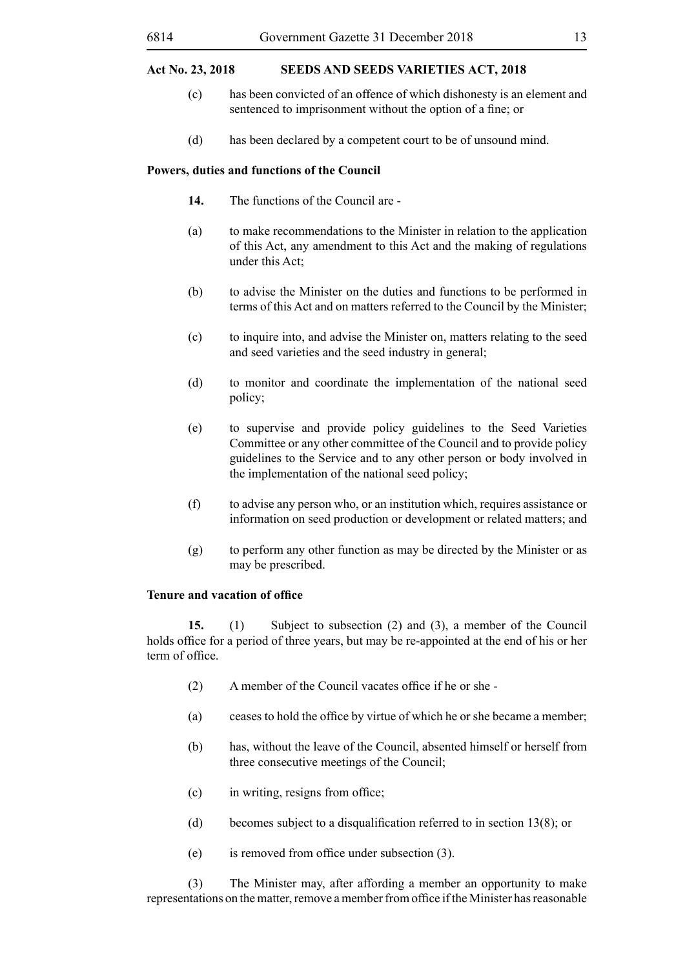- (c) has been convicted of an offence of which dishonesty is an element and sentenced to imprisonment without the option of a fine; or
- (d) has been declared by a competent court to be of unsound mind.

#### **Powers, duties and functions of the Council**

- **14.** The functions of the Council are -
- (a) to make recommendations to the Minister in relation to the application of this Act, any amendment to this Act and the making of regulations under this Act;
- (b) to advise the Minister on the duties and functions to be performed in terms of this Act and on matters referred to the Council by the Minister;
- (c) to inquire into, and advise the Minister on, matters relating to the seed and seed varieties and the seed industry in general;
- (d) to monitor and coordinate the implementation of the national seed policy;
- (e) to supervise and provide policy guidelines to the Seed Varieties Committee or any other committee of the Council and to provide policy guidelines to the Service and to any other person or body involved in the implementation of the national seed policy;
- (f) to advise any person who, or an institution which, requires assistance or information on seed production or development or related matters; and
- (g) to perform any other function as may be directed by the Minister or as may be prescribed.

#### **Tenure and vacation of office**

**15.** (1) Subject to subsection (2) and (3), a member of the Council holds office for a period of three years, but may be re-appointed at the end of his or her term of office.

- (2) A member of the Council vacates office if he or she -
- (a) ceases to hold the office by virtue of which he or she became a member;
- (b) has, without the leave of the Council, absented himself or herself from three consecutive meetings of the Council;
- (c) in writing, resigns from office;
- (d) becomes subject to a disqualification referred to in section  $13(8)$ ; or
- (e) is removed from office under subsection (3).

(3) The Minister may, after affording a member an opportunity to make representations on the matter, remove a member from office if the Minister has reasonable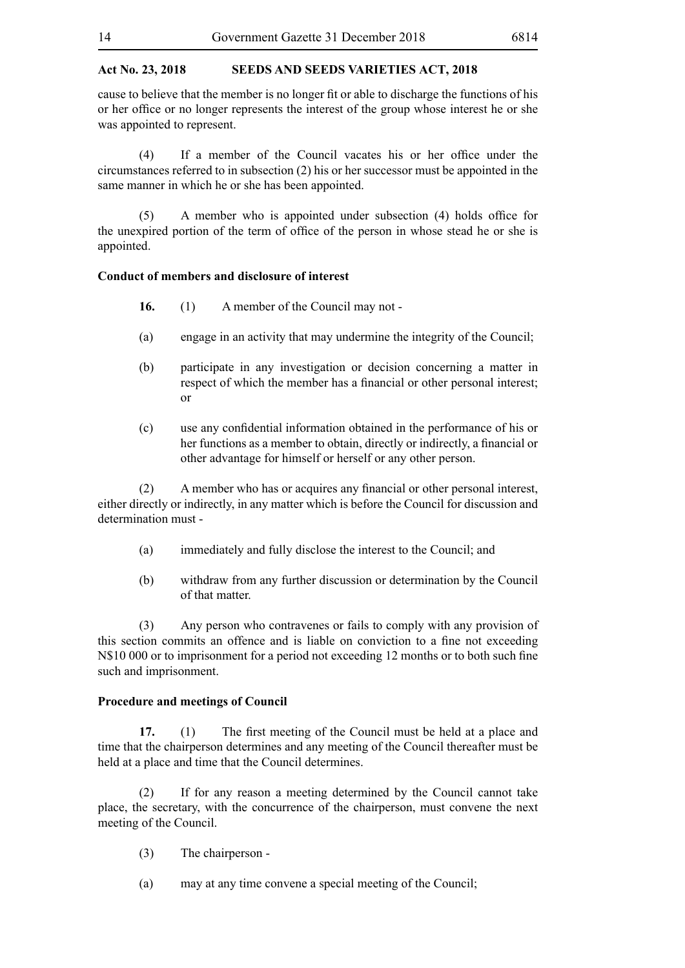cause to believe that the member is no longer fit or able to discharge the functions of his or her office or no longer represents the interest of the group whose interest he or she was appointed to represent.

 (4) If a member of the Council vacates his or her office under the circumstances referred to in subsection (2) his or her successor must be appointed in the same manner in which he or she has been appointed.

 (5) A member who is appointed under subsection (4) holds office for the unexpired portion of the term of office of the person in whose stead he or she is appointed.

#### **Conduct of members and disclosure of interest**

- **16.** (1) A member of the Council may not -
- (a) engage in an activity that may undermine the integrity of the Council;
- (b) participate in any investigation or decision concerning a matter in respect of which the member has a financial or other personal interest; or
- (c) use any confidential information obtained in the performance of his or her functions as a member to obtain, directly or indirectly, a financial or other advantage for himself or herself or any other person.

 (2) A member who has or acquires any financial or other personal interest, either directly or indirectly, in any matter which is before the Council for discussion and determination must -

- (a) immediately and fully disclose the interest to the Council; and
- (b) withdraw from any further discussion or determination by the Council of that matter.

(3) Any person who contravenes or fails to comply with any provision of this section commits an offence and is liable on conviction to a fine not exceeding N\$10 000 or to imprisonment for a period not exceeding 12 months or to both such fine such and imprisonment.

#### **Procedure and meetings of Council**

**17.** (1) The first meeting of the Council must be held at a place and time that the chairperson determines and any meeting of the Council thereafter must be held at a place and time that the Council determines.

(2) If for any reason a meeting determined by the Council cannot take place, the secretary, with the concurrence of the chairperson, must convene the next meeting of the Council.

- (3) The chairperson -
- (a) may at any time convene a special meeting of the Council;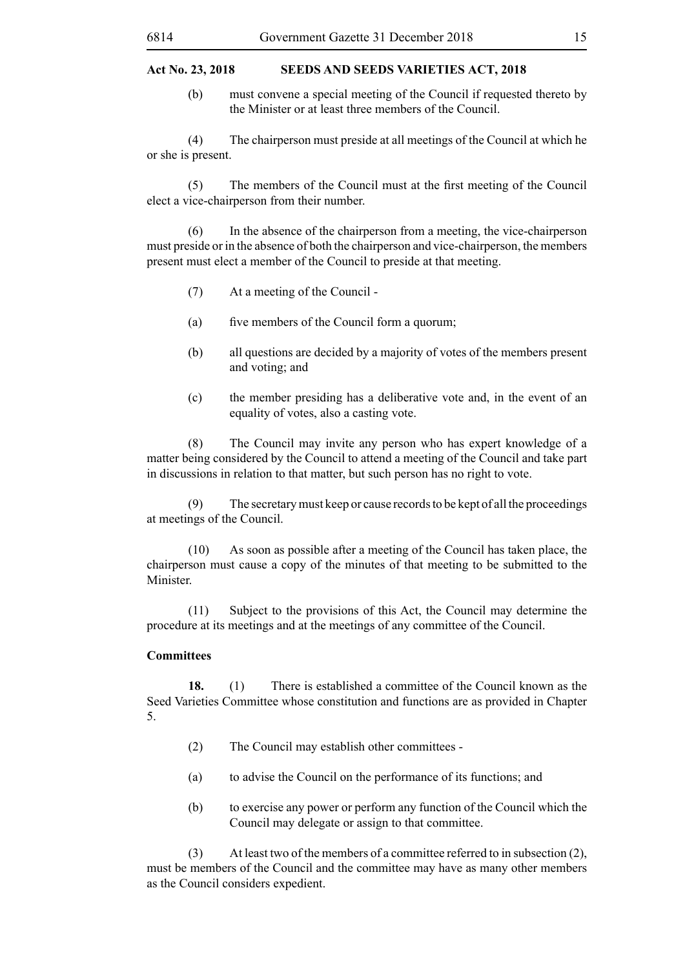(b) must convene a special meeting of the Council if requested thereto by the Minister or at least three members of the Council.

(4) The chairperson must preside at all meetings of the Council at which he or she is present.

 (5) The members of the Council must at the first meeting of the Council elect a vice-chairperson from their number.

(6) In the absence of the chairperson from a meeting, the vice-chairperson must preside or in the absence of both the chairperson and vice-chairperson, the members present must elect a member of the Council to preside at that meeting.

- (7) At a meeting of the Council -
- (a) five members of the Council form a quorum;
- (b) all questions are decided by a majority of votes of the members present and voting; and
- (c) the member presiding has a deliberative vote and, in the event of an equality of votes, also a casting vote.

(8) The Council may invite any person who has expert knowledge of a matter being considered by the Council to attend a meeting of the Council and take part in discussions in relation to that matter, but such person has no right to vote.

(9) The secretary must keep or cause records to be kept of all the proceedings at meetings of the Council.

(10) As soon as possible after a meeting of the Council has taken place, the chairperson must cause a copy of the minutes of that meeting to be submitted to the Minister.

(11) Subject to the provisions of this Act, the Council may determine the procedure at its meetings and at the meetings of any committee of the Council.

#### **Committees**

**18.** (1) There is established a committee of the Council known as the Seed Varieties Committee whose constitution and functions are as provided in Chapter 5.

- (2) The Council may establish other committees -
- (a) to advise the Council on the performance of its functions; and
- (b) to exercise any power or perform any function of the Council which the Council may delegate or assign to that committee.

(3) At least two of the members of a committee referred to in subsection (2), must be members of the Council and the committee may have as many other members as the Council considers expedient.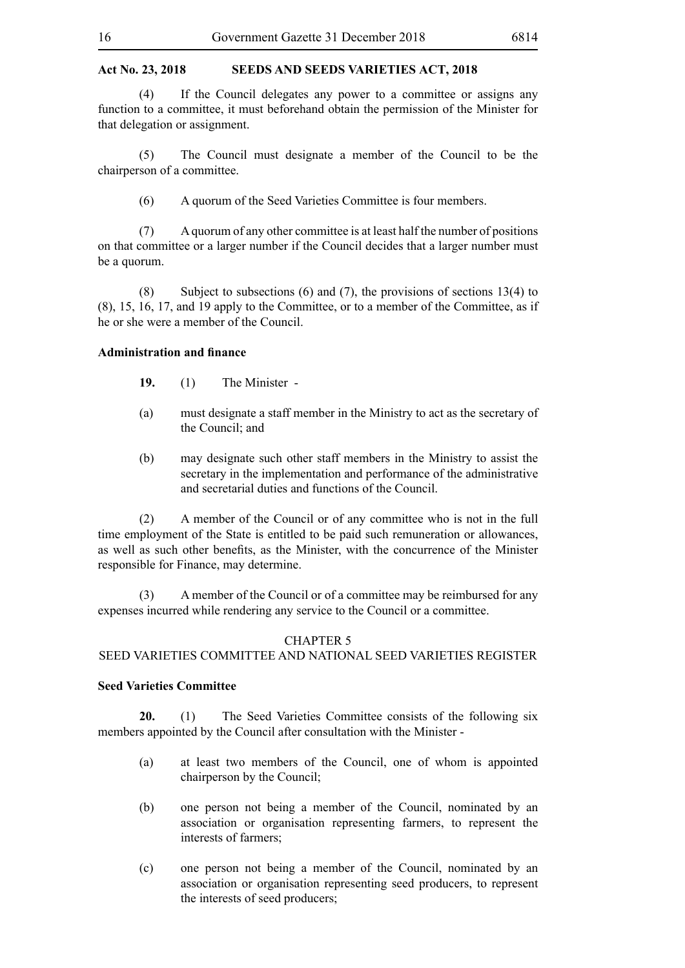(4) If the Council delegates any power to a committee or assigns any function to a committee, it must beforehand obtain the permission of the Minister for that delegation or assignment.

(5) The Council must designate a member of the Council to be the chairperson of a committee.

(6) A quorum of the Seed Varieties Committee is four members.

(7) A quorum of any other committee is at least half the number of positions on that committee or a larger number if the Council decides that a larger number must be a quorum.

(8) Subject to subsections (6) and (7), the provisions of sections 13(4) to (8), 15, 16, 17, and 19 apply to the Committee, or to a member of the Committee, as if he or she were a member of the Council.

#### **Administration and finance**

- **19.** (1) The Minister -
- (a) must designate a staff member in the Ministry to act as the secretary of the Council; and
- (b) may designate such other staff members in the Ministry to assist the secretary in the implementation and performance of the administrative and secretarial duties and functions of the Council.

(2) A member of the Council or of any committee who is not in the full time employment of the State is entitled to be paid such remuneration or allowances, as well as such other benefits, as the Minister, with the concurrence of the Minister responsible for Finance, may determine.

(3) A member of the Council or of a committee may be reimbursed for any expenses incurred while rendering any service to the Council or a committee.

#### CHAPTER 5

#### SEED VARIETIES COMMITTEE AND NATIONAL SEED VARIETIES REGISTER

#### **Seed Varieties Committee**

**20.** (1) The Seed Varieties Committee consists of the following six members appointed by the Council after consultation with the Minister -

- (a) at least two members of the Council, one of whom is appointed chairperson by the Council;
- (b) one person not being a member of the Council, nominated by an association or organisation representing farmers, to represent the interests of farmers;
- (c) one person not being a member of the Council, nominated by an association or organisation representing seed producers, to represent the interests of seed producers;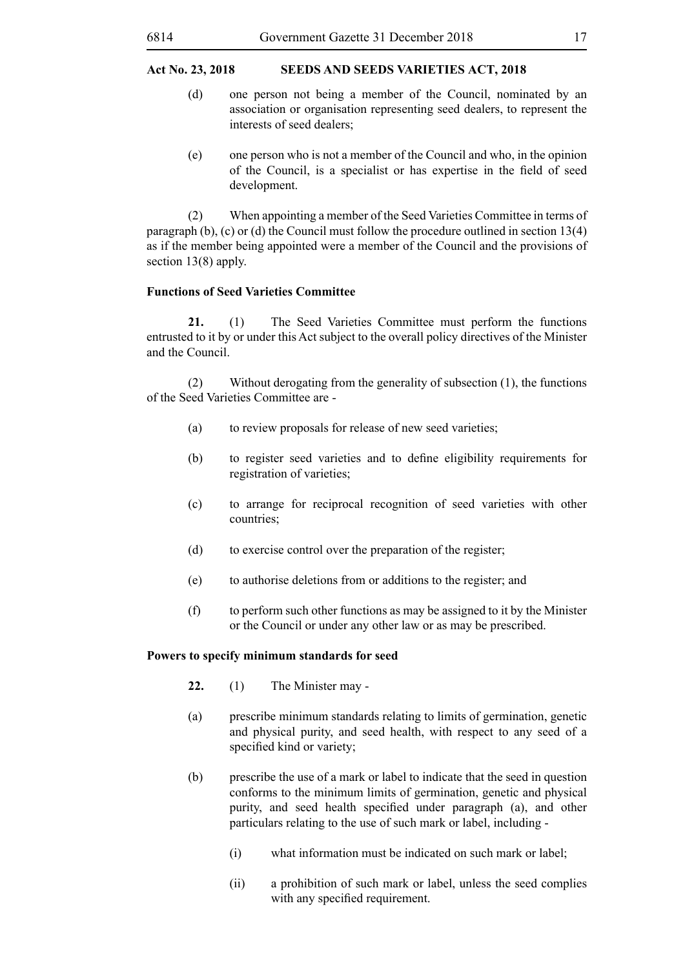- (d) one person not being a member of the Council, nominated by an association or organisation representing seed dealers, to represent the interests of seed dealers;
- (e) one person who is not a member of the Council and who, in the opinion of the Council, is a specialist or has expertise in the field of seed development.

(2) When appointing a member of the Seed Varieties Committee in terms of paragraph (b), (c) or (d) the Council must follow the procedure outlined in section 13(4) as if the member being appointed were a member of the Council and the provisions of section 13(8) apply.

#### **Functions of Seed Varieties Committee**

**21.** (1) The Seed Varieties Committee must perform the functions entrusted to it by or under this Act subject to the overall policy directives of the Minister and the Council.

(2) Without derogating from the generality of subsection (1), the functions of the Seed Varieties Committee are -

- (a) to review proposals for release of new seed varieties;
- (b) to register seed varieties and to define eligibility requirements for registration of varieties;
- (c) to arrange for reciprocal recognition of seed varieties with other countries;
- (d) to exercise control over the preparation of the register;
- (e) to authorise deletions from or additions to the register; and
- (f) to perform such other functions as may be assigned to it by the Minister or the Council or under any other law or as may be prescribed.

#### **Powers to specify minimum standards for seed**

- **22.** (1) The Minister may -
- (a) prescribe minimum standards relating to limits of germination, genetic and physical purity, and seed health, with respect to any seed of a specified kind or variety;
- (b) prescribe the use of a mark or label to indicate that the seed in question conforms to the minimum limits of germination, genetic and physical purity, and seed health specified under paragraph (a), and other particulars relating to the use of such mark or label, including -
	- (i) what information must be indicated on such mark or label;
	- (ii) a prohibition of such mark or label, unless the seed complies with any specified requirement.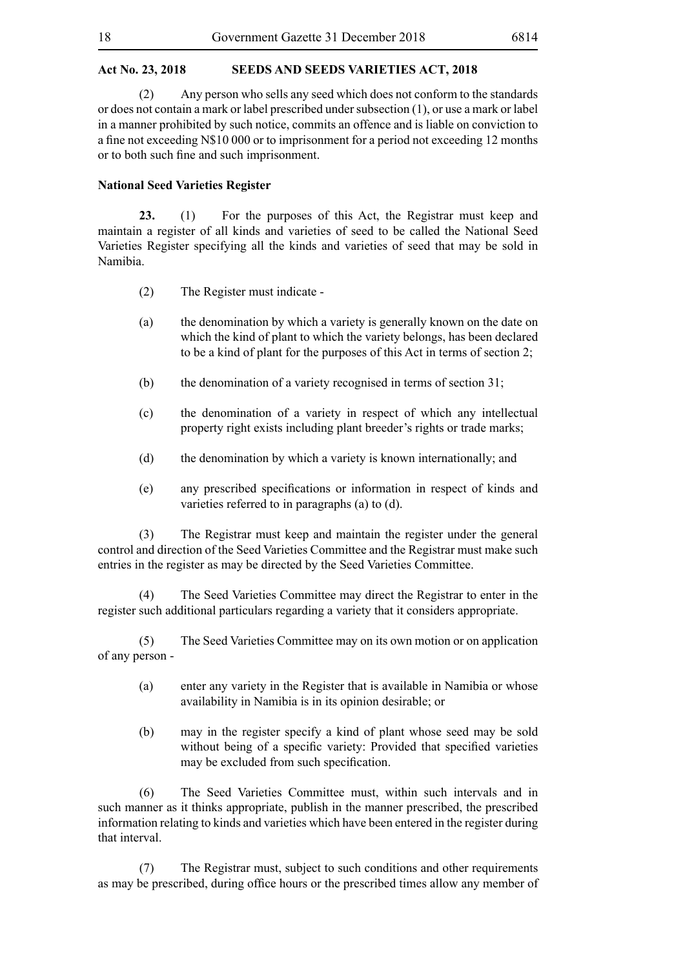(2) Any person who sells any seed which does not conform to the standards or does not contain a mark or label prescribed under subsection (1), or use a mark or label in a manner prohibited by such notice, commits an offence and is liable on conviction to a fine not exceeding N\$10 000 or to imprisonment for a period not exceeding 12 months or to both such fine and such imprisonment.

#### **National Seed Varieties Register**

**23.** (1) For the purposes of this Act, the Registrar must keep and maintain a register of all kinds and varieties of seed to be called the National Seed Varieties Register specifying all the kinds and varieties of seed that may be sold in Namibia.

- (2) The Register must indicate -
- (a) the denomination by which a variety is generally known on the date on which the kind of plant to which the variety belongs, has been declared to be a kind of plant for the purposes of this Act in terms of section 2;
- (b) the denomination of a variety recognised in terms of section 31;
- (c) the denomination of a variety in respect of which any intellectual property right exists including plant breeder's rights or trade marks;
- (d) the denomination by which a variety is known internationally; and
- (e) any prescribed specifications or information in respect of kinds and varieties referred to in paragraphs (a) to (d).

(3) The Registrar must keep and maintain the register under the general control and direction of the Seed Varieties Committee and the Registrar must make such entries in the register as may be directed by the Seed Varieties Committee.

(4) The Seed Varieties Committee may direct the Registrar to enter in the register such additional particulars regarding a variety that it considers appropriate.

(5) The Seed Varieties Committee may on its own motion or on application of any person -

- (a) enter any variety in the Register that is available in Namibia or whose availability in Namibia is in its opinion desirable; or
- (b) may in the register specify a kind of plant whose seed may be sold without being of a specific variety: Provided that specified varieties may be excluded from such specification.

(6) The Seed Varieties Committee must, within such intervals and in such manner as it thinks appropriate, publish in the manner prescribed, the prescribed information relating to kinds and varieties which have been entered in the register during that interval.

(7) The Registrar must, subject to such conditions and other requirements as may be prescribed, during office hours or the prescribed times allow any member of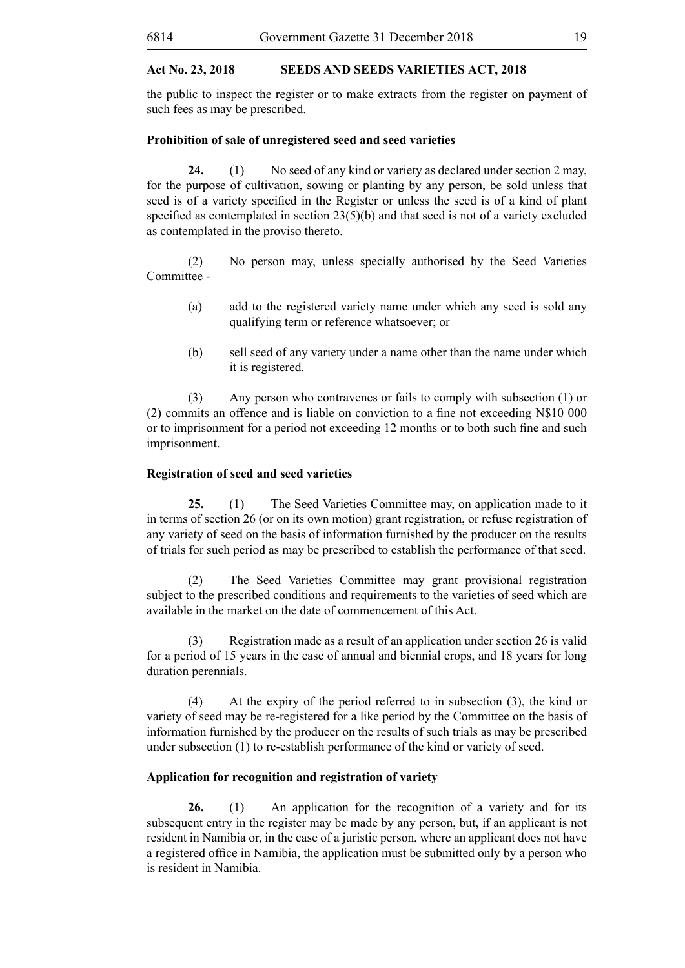the public to inspect the register or to make extracts from the register on payment of such fees as may be prescribed.

#### **Prohibition of sale of unregistered seed and seed varieties**

**24.** (1) No seed of any kind or variety as declared under section 2 may, for the purpose of cultivation, sowing or planting by any person, be sold unless that seed is of a variety specified in the Register or unless the seed is of a kind of plant specified as contemplated in section 23(5)(b) and that seed is not of a variety excluded as contemplated in the proviso thereto.

(2) No person may, unless specially authorised by the Seed Varieties Committee -

- (a) add to the registered variety name under which any seed is sold any qualifying term or reference whatsoever; or
- (b) sell seed of any variety under a name other than the name under which it is registered.

(3) Any person who contravenes or fails to comply with subsection (1) or (2) commits an offence and is liable on conviction to a fine not exceeding N\$10 000 or to imprisonment for a period not exceeding 12 months or to both such fine and such imprisonment.

#### **Registration of seed and seed varieties**

**25.** (1) The Seed Varieties Committee may, on application made to it in terms of section 26 (or on its own motion) grant registration, or refuse registration of any variety of seed on the basis of information furnished by the producer on the results of trials for such period as may be prescribed to establish the performance of that seed.

(2) The Seed Varieties Committee may grant provisional registration subject to the prescribed conditions and requirements to the varieties of seed which are available in the market on the date of commencement of this Act.

(3) Registration made as a result of an application under section 26 is valid for a period of 15 years in the case of annual and biennial crops, and 18 years for long duration perennials.

(4) At the expiry of the period referred to in subsection (3), the kind or variety of seed may be re-registered for a like period by the Committee on the basis of information furnished by the producer on the results of such trials as may be prescribed under subsection (1) to re-establish performance of the kind or variety of seed.

#### **Application for recognition and registration of variety**

26. (1) An application for the recognition of a variety and for its subsequent entry in the register may be made by any person, but, if an applicant is not resident in Namibia or, in the case of a juristic person, where an applicant does not have a registered office in Namibia, the application must be submitted only by a person who is resident in Namibia.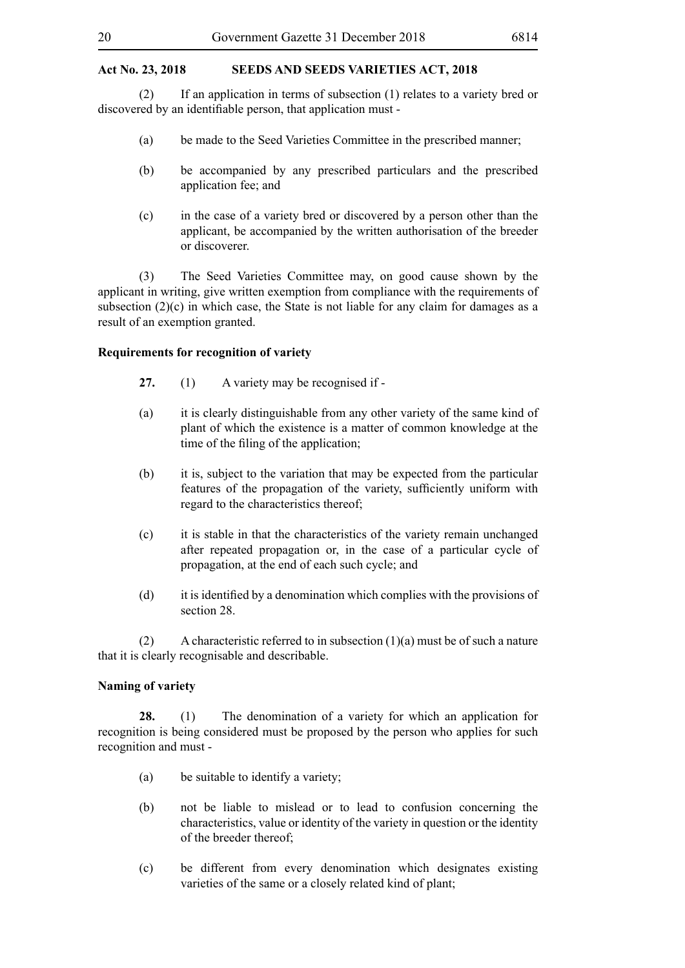(2) If an application in terms of subsection (1) relates to a variety bred or discovered by an identifiable person, that application must -

- (a) be made to the Seed Varieties Committee in the prescribed manner;
- (b) be accompanied by any prescribed particulars and the prescribed application fee; and
- (c) in the case of a variety bred or discovered by a person other than the applicant, be accompanied by the written authorisation of the breeder or discoverer.

(3) The Seed Varieties Committee may, on good cause shown by the applicant in writing, give written exemption from compliance with the requirements of subsection  $(2)(c)$  in which case, the State is not liable for any claim for damages as a result of an exemption granted.

#### **Requirements for recognition of variety**

- **27.** (1) A variety may be recognised if -
- (a) it is clearly distinguishable from any other variety of the same kind of plant of which the existence is a matter of common knowledge at the time of the filing of the application;
- (b) it is, subject to the variation that may be expected from the particular features of the propagation of the variety, sufficiently uniform with regard to the characteristics thereof;
- (c) it is stable in that the characteristics of the variety remain unchanged after repeated propagation or, in the case of a particular cycle of propagation, at the end of each such cycle; and
- (d) it is identified by a denomination which complies with the provisions of section 28.

(2) A characteristic referred to in subsection (1)(a) must be of such a nature that it is clearly recognisable and describable.

#### **Naming of variety**

**28.** (1) The denomination of a variety for which an application for recognition is being considered must be proposed by the person who applies for such recognition and must -

- (a) be suitable to identify a variety;
- (b) not be liable to mislead or to lead to confusion concerning the characteristics, value or identity of the variety in question or the identity of the breeder thereof;
- (c) be different from every denomination which designates existing varieties of the same or a closely related kind of plant;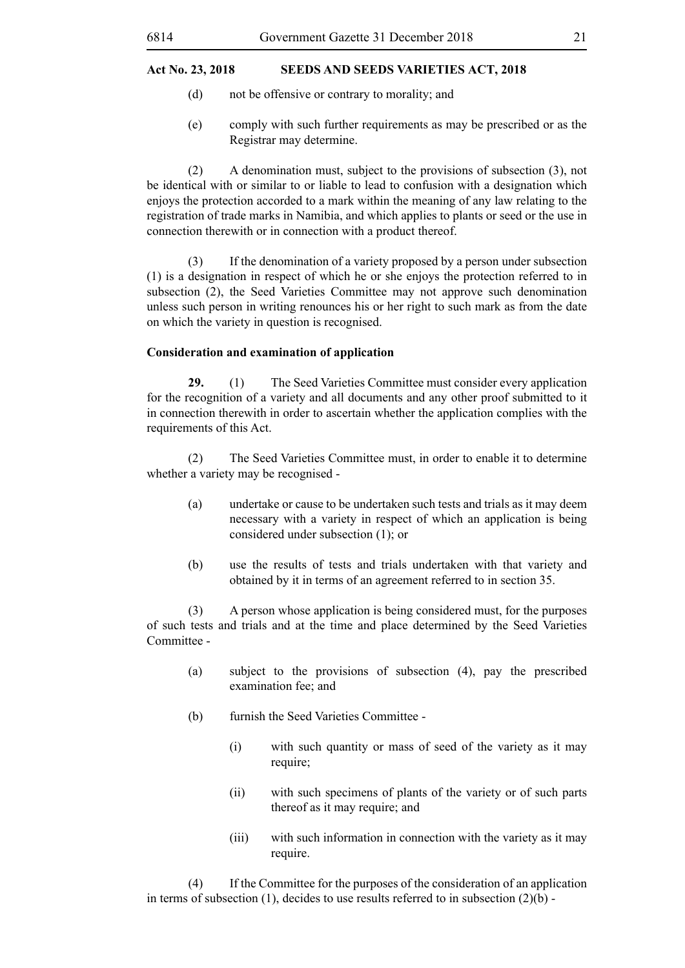- (d) not be offensive or contrary to morality; and
- (e) comply with such further requirements as may be prescribed or as the Registrar may determine.

(2) A denomination must, subject to the provisions of subsection (3), not be identical with or similar to or liable to lead to confusion with a designation which enjoys the protection accorded to a mark within the meaning of any law relating to the registration of trade marks in Namibia, and which applies to plants or seed or the use in connection therewith or in connection with a product thereof.

(3) If the denomination of a variety proposed by a person under subsection (1) is a designation in respect of which he or she enjoys the protection referred to in subsection (2), the Seed Varieties Committee may not approve such denomination unless such person in writing renounces his or her right to such mark as from the date on which the variety in question is recognised.

#### **Consideration and examination of application**

**29.** (1) The Seed Varieties Committee must consider every application for the recognition of a variety and all documents and any other proof submitted to it in connection therewith in order to ascertain whether the application complies with the requirements of this Act.

(2) The Seed Varieties Committee must, in order to enable it to determine whether a variety may be recognised -

- (a) undertake or cause to be undertaken such tests and trials as it may deem necessary with a variety in respect of which an application is being considered under subsection (1); or
- (b) use the results of tests and trials undertaken with that variety and obtained by it in terms of an agreement referred to in section 35.

(3) A person whose application is being considered must, for the purposes of such tests and trials and at the time and place determined by the Seed Varieties Committee -

- (a) subject to the provisions of subsection (4), pay the prescribed examination fee; and
- (b) furnish the Seed Varieties Committee
	- (i) with such quantity or mass of seed of the variety as it may require;
	- (ii) with such specimens of plants of the variety or of such parts thereof as it may require; and
	- (iii) with such information in connection with the variety as it may require.

(4) If the Committee for the purposes of the consideration of an application in terms of subsection (1), decides to use results referred to in subsection  $(2)(b)$  -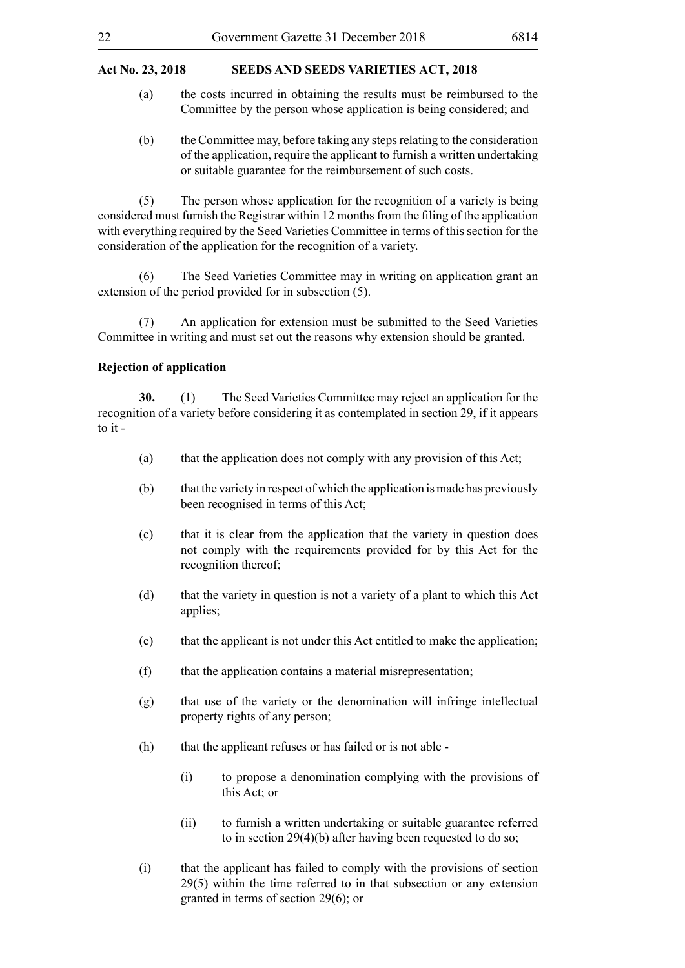- (a) the costs incurred in obtaining the results must be reimbursed to the Committee by the person whose application is being considered; and
- (b) the Committee may, before taking any steps relating to the consideration of the application, require the applicant to furnish a written undertaking or suitable guarantee for the reimbursement of such costs.

(5) The person whose application for the recognition of a variety is being considered must furnish the Registrar within 12 months from the filing of the application with everything required by the Seed Varieties Committee in terms of this section for the consideration of the application for the recognition of a variety.

(6) The Seed Varieties Committee may in writing on application grant an extension of the period provided for in subsection (5).

(7) An application for extension must be submitted to the Seed Varieties Committee in writing and must set out the reasons why extension should be granted.

#### **Rejection of application**

**30.** (1) The Seed Varieties Committee may reject an application for the recognition of a variety before considering it as contemplated in section 29, if it appears to it -

- (a) that the application does not comply with any provision of this Act;
- (b) that the variety in respect of which the application is made has previously been recognised in terms of this Act;
- (c) that it is clear from the application that the variety in question does not comply with the requirements provided for by this Act for the recognition thereof;
- (d) that the variety in question is not a variety of a plant to which this Act applies;
- (e) that the applicant is not under this Act entitled to make the application;
- (f) that the application contains a material misrepresentation;
- (g) that use of the variety or the denomination will infringe intellectual property rights of any person;
- (h) that the applicant refuses or has failed or is not able
	- (i) to propose a denomination complying with the provisions of this Act; or
	- (ii) to furnish a written undertaking or suitable guarantee referred to in section 29(4)(b) after having been requested to do so;
- (i) that the applicant has failed to comply with the provisions of section 29(5) within the time referred to in that subsection or any extension granted in terms of section 29(6); or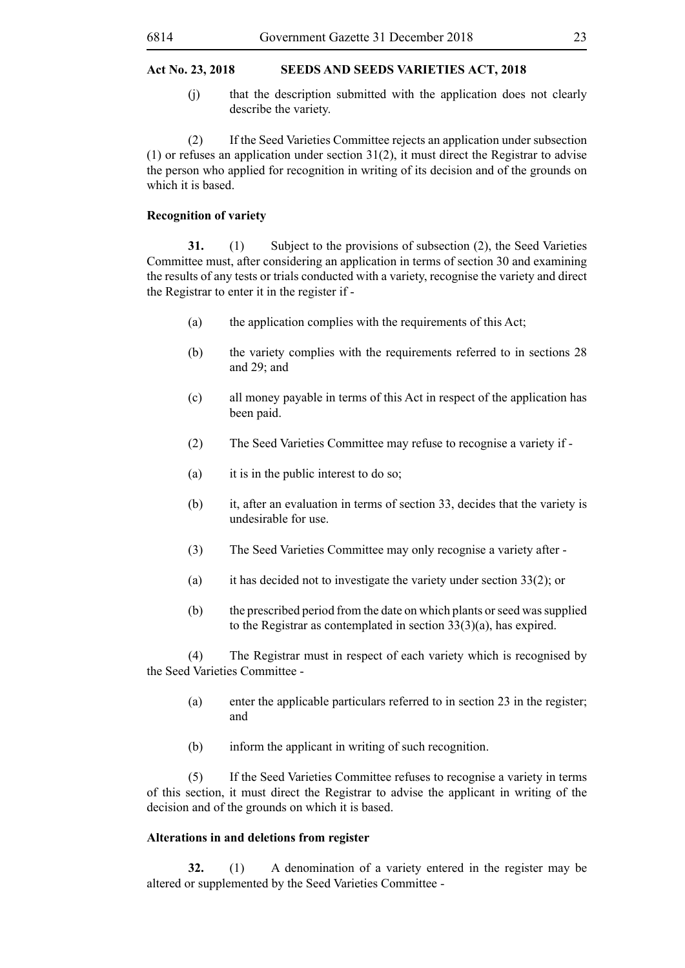(j) that the description submitted with the application does not clearly describe the variety.

(2) If the Seed Varieties Committee rejects an application under subsection (1) or refuses an application under section 31(2), it must direct the Registrar to advise the person who applied for recognition in writing of its decision and of the grounds on which it is based.

#### **Recognition of variety**

**31.** (1) Subject to the provisions of subsection (2), the Seed Varieties Committee must, after considering an application in terms of section 30 and examining the results of any tests or trials conducted with a variety, recognise the variety and direct the Registrar to enter it in the register if -

- (a) the application complies with the requirements of this Act;
- (b) the variety complies with the requirements referred to in sections 28 and 29; and
- (c) all money payable in terms of this Act in respect of the application has been paid.
- (2) The Seed Varieties Committee may refuse to recognise a variety if -
- (a) it is in the public interest to do so;
- (b) it, after an evaluation in terms of section 33, decides that the variety is undesirable for use.
- (3) The Seed Varieties Committee may only recognise a variety after -
- (a) it has decided not to investigate the variety under section 33(2); or
- (b) the prescribed period from the date on which plants or seed was supplied to the Registrar as contemplated in section 33(3)(a), has expired.

(4) The Registrar must in respect of each variety which is recognised by the Seed Varieties Committee -

- (a) enter the applicable particulars referred to in section 23 in the register; and
- (b) inform the applicant in writing of such recognition.

(5) If the Seed Varieties Committee refuses to recognise a variety in terms of this section, it must direct the Registrar to advise the applicant in writing of the decision and of the grounds on which it is based.

#### **Alterations in and deletions from register**

**32.** (1) A denomination of a variety entered in the register may be altered or supplemented by the Seed Varieties Committee -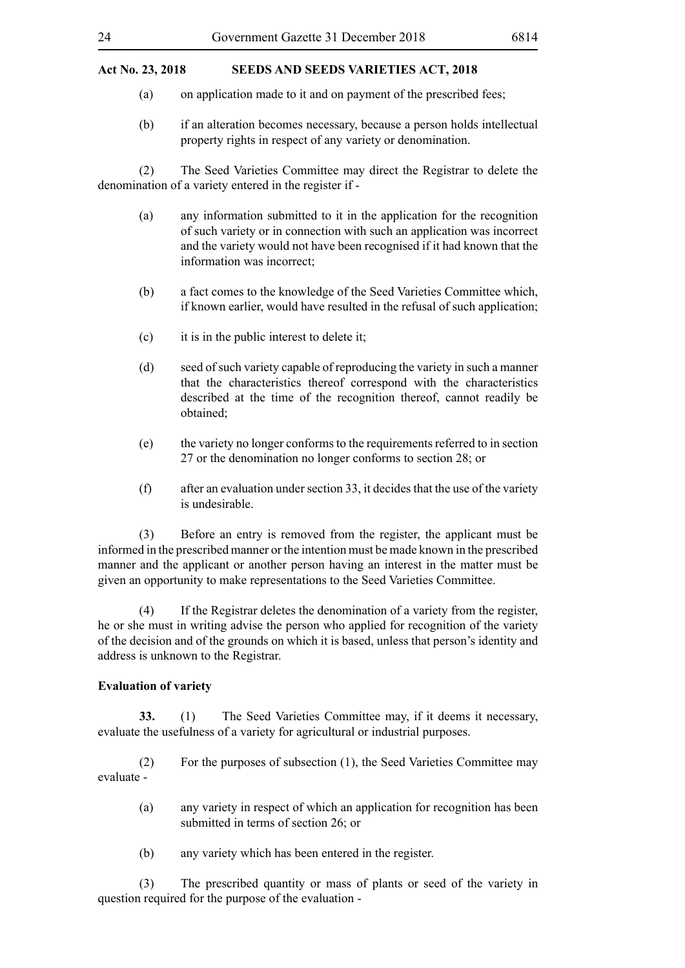- (a) on application made to it and on payment of the prescribed fees;
- (b) if an alteration becomes necessary, because a person holds intellectual property rights in respect of any variety or denomination.

(2) The Seed Varieties Committee may direct the Registrar to delete the denomination of a variety entered in the register if -

- (a) any information submitted to it in the application for the recognition of such variety or in connection with such an application was incorrect and the variety would not have been recognised if it had known that the information was incorrect;
- (b) a fact comes to the knowledge of the Seed Varieties Committee which, if known earlier, would have resulted in the refusal of such application;
- (c) it is in the public interest to delete it;
- (d) seed of such variety capable of reproducing the variety in such a manner that the characteristics thereof correspond with the characteristics described at the time of the recognition thereof, cannot readily be obtained;
- (e) the variety no longer conforms to the requirements referred to in section 27 or the denomination no longer conforms to section 28; or
- (f) after an evaluation under section 33, it decides that the use of the variety is undesirable.

(3) Before an entry is removed from the register, the applicant must be informed in the prescribed manner or the intention must be made known in the prescribed manner and the applicant or another person having an interest in the matter must be given an opportunity to make representations to the Seed Varieties Committee.

(4) If the Registrar deletes the denomination of a variety from the register, he or she must in writing advise the person who applied for recognition of the variety of the decision and of the grounds on which it is based, unless that person's identity and address is unknown to the Registrar.

#### **Evaluation of variety**

**33.** (1) The Seed Varieties Committee may, if it deems it necessary, evaluate the usefulness of a variety for agricultural or industrial purposes.

(2) For the purposes of subsection (1), the Seed Varieties Committee may evaluate -

- (a) any variety in respect of which an application for recognition has been submitted in terms of section 26; or
- (b) any variety which has been entered in the register.

(3) The prescribed quantity or mass of plants or seed of the variety in question required for the purpose of the evaluation -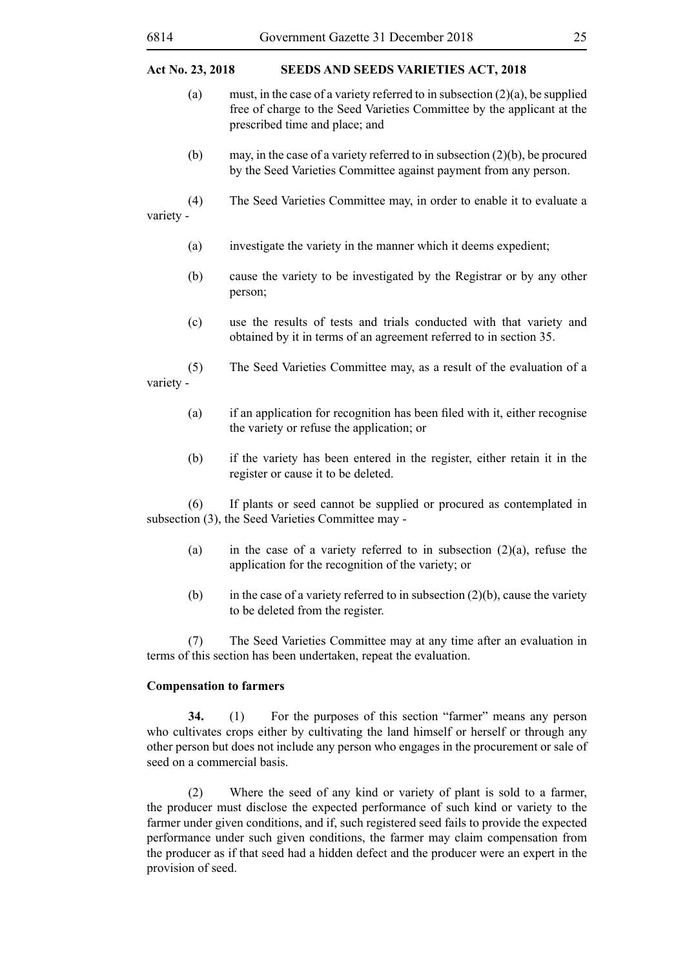- (a) must, in the case of a variety referred to in subsection  $(2)(a)$ , be supplied free of charge to the Seed Varieties Committee by the applicant at the prescribed time and place; and
- (b) may, in the case of a variety referred to in subsection (2)(b), be procured by the Seed Varieties Committee against payment from any person.
- (4) The Seed Varieties Committee may, in order to enable it to evaluate a variety -
	- (a) investigate the variety in the manner which it deems expedient;
	- (b) cause the variety to be investigated by the Registrar or by any other person;
	- (c) use the results of tests and trials conducted with that variety and obtained by it in terms of an agreement referred to in section 35.
- (5) The Seed Varieties Committee may, as a result of the evaluation of a variety -
	- (a) if an application for recognition has been filed with it, either recognise the variety or refuse the application; or
	- (b) if the variety has been entered in the register, either retain it in the register or cause it to be deleted.

(6) If plants or seed cannot be supplied or procured as contemplated in subsection (3), the Seed Varieties Committee may -

- (a) in the case of a variety referred to in subsection  $(2)(a)$ , refuse the application for the recognition of the variety; or
- (b) in the case of a variety referred to in subsection  $(2)(b)$ , cause the variety to be deleted from the register.

(7) The Seed Varieties Committee may at any time after an evaluation in terms of this section has been undertaken, repeat the evaluation.

#### **Compensation to farmers**

**34.** (1) For the purposes of this section "farmer" means any person who cultivates crops either by cultivating the land himself or herself or through any other person but does not include any person who engages in the procurement or sale of seed on a commercial basis.

(2) Where the seed of any kind or variety of plant is sold to a farmer, the producer must disclose the expected performance of such kind or variety to the farmer under given conditions, and if, such registered seed fails to provide the expected performance under such given conditions, the farmer may claim compensation from the producer as if that seed had a hidden defect and the producer were an expert in the provision of seed.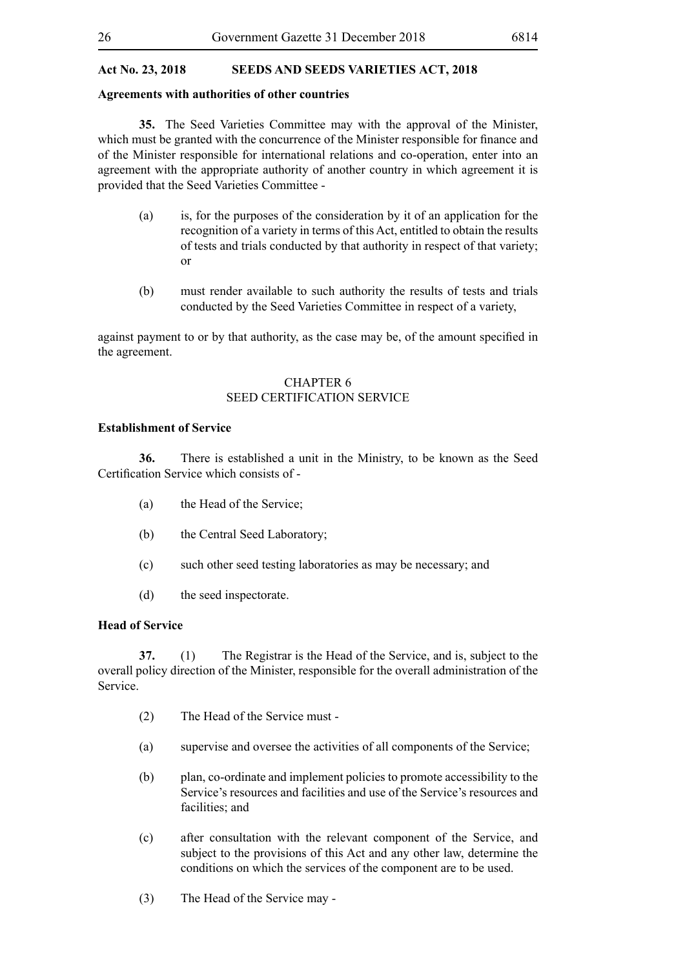#### **Agreements with authorities of other countries**

**35.** The Seed Varieties Committee may with the approval of the Minister, which must be granted with the concurrence of the Minister responsible for finance and of the Minister responsible for international relations and co-operation, enter into an agreement with the appropriate authority of another country in which agreement it is provided that the Seed Varieties Committee -

- (a) is, for the purposes of the consideration by it of an application for the recognition of a variety in terms of this Act, entitled to obtain the results of tests and trials conducted by that authority in respect of that variety; or
- (b) must render available to such authority the results of tests and trials conducted by the Seed Varieties Committee in respect of a variety,

against payment to or by that authority, as the case may be, of the amount specified in the agreement.

#### CHAPTER 6 SEED CERTIFICATION SERVICE

#### **Establishment of Service**

**36.** There is established a unit in the Ministry, to be known as the Seed Certification Service which consists of -

- (a) the Head of the Service;
- (b) the Central Seed Laboratory;
- (c) such other seed testing laboratories as may be necessary; and
- (d) the seed inspectorate.

#### **Head of Service**

**37.** (1) The Registrar is the Head of the Service, and is, subject to the overall policy direction of the Minister, responsible for the overall administration of the Service.

- (2) The Head of the Service must -
- (a) supervise and oversee the activities of all components of the Service;
- (b) plan, co-ordinate and implement policies to promote accessibility to the Service's resources and facilities and use of the Service's resources and facilities: and
- (c) after consultation with the relevant component of the Service, and subject to the provisions of this Act and any other law, determine the conditions on which the services of the component are to be used.
- (3) The Head of the Service may -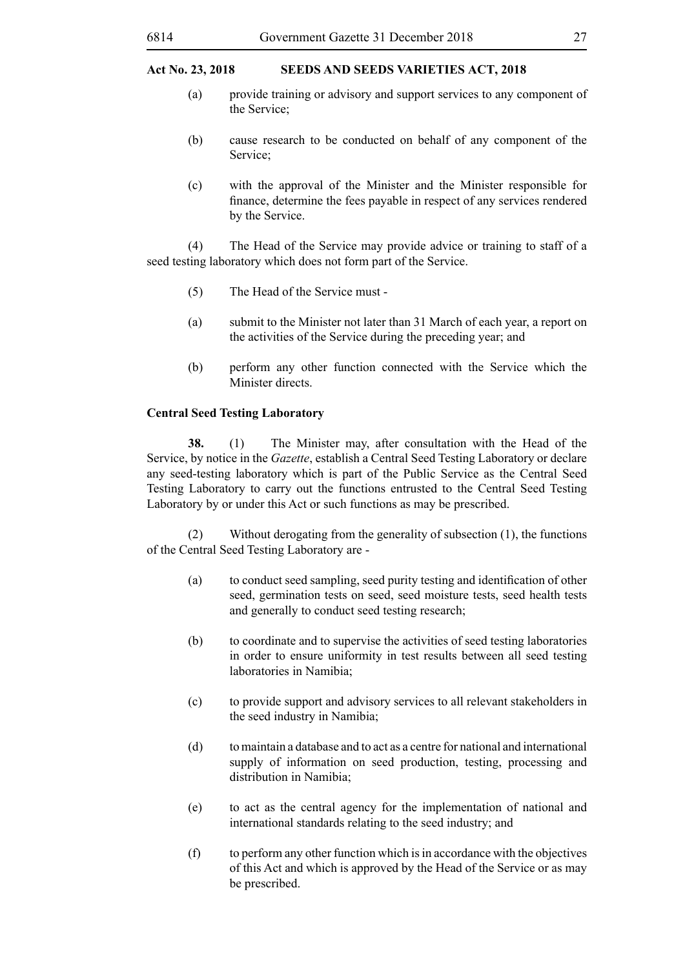- (a) provide training or advisory and support services to any component of the Service;
- (b) cause research to be conducted on behalf of any component of the Service;
- (c) with the approval of the Minister and the Minister responsible for finance, determine the fees payable in respect of any services rendered by the Service.

(4) The Head of the Service may provide advice or training to staff of a seed testing laboratory which does not form part of the Service.

- (5) The Head of the Service must -
- (a) submit to the Minister not later than 31 March of each year, a report on the activities of the Service during the preceding year; and
- (b) perform any other function connected with the Service which the Minister directs.

#### **Central Seed Testing Laboratory**

**38.** (1) The Minister may, after consultation with the Head of the Service, by notice in the *Gazette*, establish a Central Seed Testing Laboratory or declare any seed-testing laboratory which is part of the Public Service as the Central Seed Testing Laboratory to carry out the functions entrusted to the Central Seed Testing Laboratory by or under this Act or such functions as may be prescribed.

(2) Without derogating from the generality of subsection (1), the functions of the Central Seed Testing Laboratory are -

- (a) to conduct seed sampling, seed purity testing and identification of other seed, germination tests on seed, seed moisture tests, seed health tests and generally to conduct seed testing research;
- (b) to coordinate and to supervise the activities of seed testing laboratories in order to ensure uniformity in test results between all seed testing laboratories in Namibia;
- (c) to provide support and advisory services to all relevant stakeholders in the seed industry in Namibia;
- (d) to maintain a database and to act as a centre for national and international supply of information on seed production, testing, processing and distribution in Namibia;
- (e) to act as the central agency for the implementation of national and international standards relating to the seed industry; and
- (f) to perform any other function which is in accordance with the objectives of this Act and which is approved by the Head of the Service or as may be prescribed.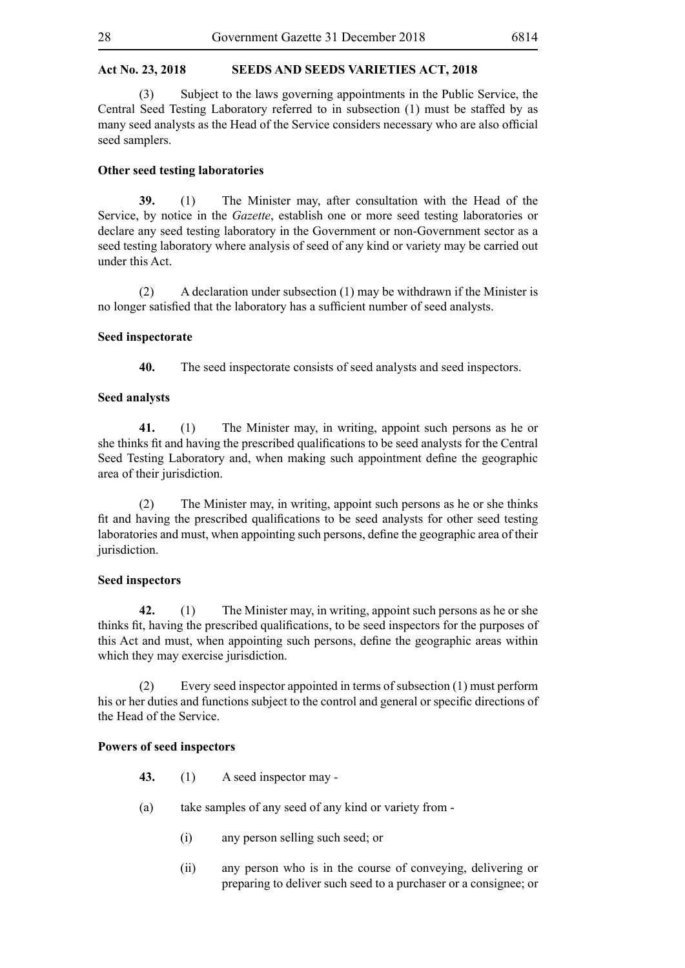(3) Subject to the laws governing appointments in the Public Service, the Central Seed Testing Laboratory referred to in subsection (1) must be staffed by as many seed analysts as the Head of the Service considers necessary who are also official seed samplers.

#### **Other seed testing laboratories**

**39.** (1) The Minister may, after consultation with the Head of the Service, by notice in the *Gazette*, establish one or more seed testing laboratories or declare any seed testing laboratory in the Government or non-Government sector as a seed testing laboratory where analysis of seed of any kind or variety may be carried out under this Act.

(2) A declaration under subsection (1) may be withdrawn if the Minister is no longer satisfied that the laboratory has a sufficient number of seed analysts.

#### **Seed inspectorate**

**40.** The seed inspectorate consists of seed analysts and seed inspectors.

#### **Seed analysts**

**41.** (1) The Minister may, in writing, appoint such persons as he or she thinks fit and having the prescribed qualifications to be seed analysts for the Central Seed Testing Laboratory and, when making such appointment define the geographic area of their jurisdiction.

(2) The Minister may, in writing, appoint such persons as he or she thinks fit and having the prescribed qualifications to be seed analysts for other seed testing laboratories and must, when appointing such persons, define the geographic area of their jurisdiction.

#### **Seed inspectors**

**42.** (1) The Minister may, in writing, appoint such persons as he or she thinks fit, having the prescribed qualifications, to be seed inspectors for the purposes of this Act and must, when appointing such persons, define the geographic areas within which they may exercise jurisdiction.

(2) Every seed inspector appointed in terms of subsection (1) must perform his or her duties and functions subject to the control and general or specific directions of the Head of the Service.

#### **Powers of seed inspectors**

- **43.** (1) A seed inspector may -
- (a) take samples of any seed of any kind or variety from
	- (i) any person selling such seed; or
	- (ii) any person who is in the course of conveying, delivering or preparing to deliver such seed to a purchaser or a consignee; or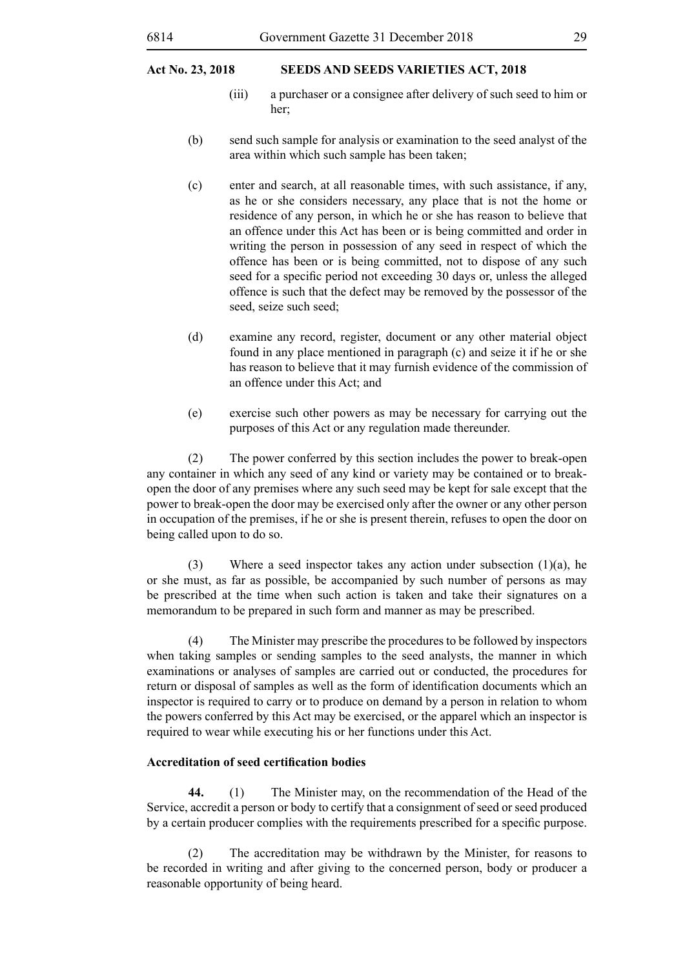- (iii) a purchaser or a consignee after delivery of such seed to him or her;
- (b) send such sample for analysis or examination to the seed analyst of the area within which such sample has been taken;
- (c) enter and search, at all reasonable times, with such assistance, if any, as he or she considers necessary, any place that is not the home or residence of any person, in which he or she has reason to believe that an offence under this Act has been or is being committed and order in writing the person in possession of any seed in respect of which the offence has been or is being committed, not to dispose of any such seed for a specific period not exceeding 30 days or, unless the alleged offence is such that the defect may be removed by the possessor of the seed, seize such seed;
- (d) examine any record, register, document or any other material object found in any place mentioned in paragraph (c) and seize it if he or she has reason to believe that it may furnish evidence of the commission of an offence under this Act; and
- (e) exercise such other powers as may be necessary for carrying out the purposes of this Act or any regulation made thereunder.

(2) The power conferred by this section includes the power to break-open any container in which any seed of any kind or variety may be contained or to breakopen the door of any premises where any such seed may be kept for sale except that the power to break-open the door may be exercised only after the owner or any other person in occupation of the premises, if he or she is present therein, refuses to open the door on being called upon to do so.

(3) Where a seed inspector takes any action under subsection  $(1)(a)$ , he or she must, as far as possible, be accompanied by such number of persons as may be prescribed at the time when such action is taken and take their signatures on a memorandum to be prepared in such form and manner as may be prescribed.

(4) The Minister may prescribe the procedures to be followed by inspectors when taking samples or sending samples to the seed analysts, the manner in which examinations or analyses of samples are carried out or conducted, the procedures for return or disposal of samples as well as the form of identification documents which an inspector is required to carry or to produce on demand by a person in relation to whom the powers conferred by this Act may be exercised, or the apparel which an inspector is required to wear while executing his or her functions under this Act.

#### **Accreditation of seed certification bodies**

**44.** (1) The Minister may, on the recommendation of the Head of the Service, accredit a person or body to certify that a consignment of seed or seed produced by a certain producer complies with the requirements prescribed for a specific purpose.

(2) The accreditation may be withdrawn by the Minister, for reasons to be recorded in writing and after giving to the concerned person, body or producer a reasonable opportunity of being heard.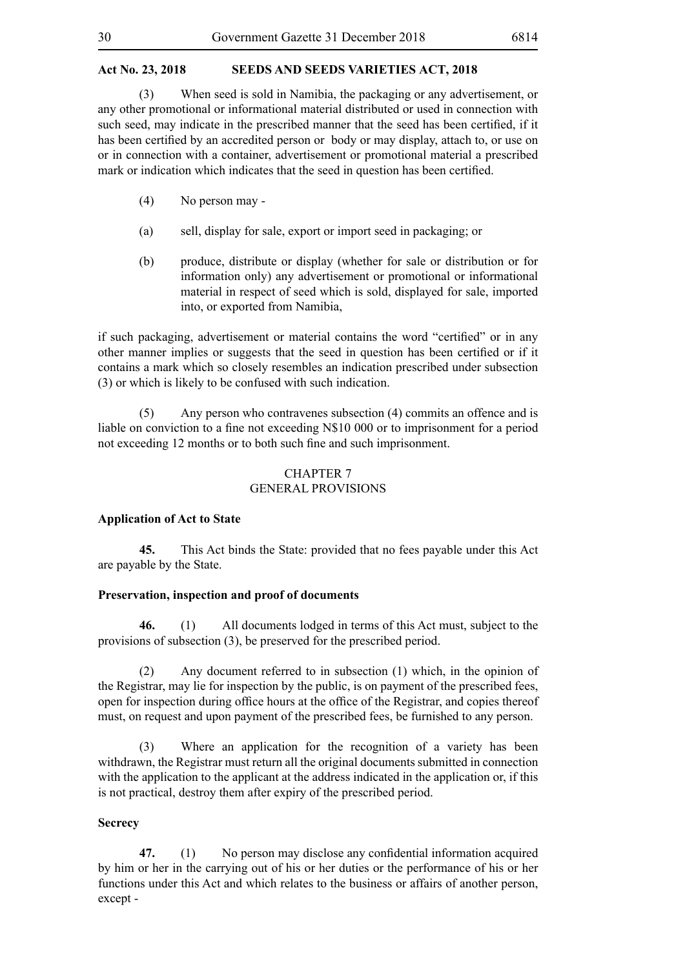(3) When seed is sold in Namibia, the packaging or any advertisement, or any other promotional or informational material distributed or used in connection with such seed, may indicate in the prescribed manner that the seed has been certified, if it has been certified by an accredited person or body or may display, attach to, or use on or in connection with a container, advertisement or promotional material a prescribed mark or indication which indicates that the seed in question has been certified.

- (4) No person may -
- (a) sell, display for sale, export or import seed in packaging; or
- (b) produce, distribute or display (whether for sale or distribution or for information only) any advertisement or promotional or informational material in respect of seed which is sold, displayed for sale, imported into, or exported from Namibia,

if such packaging, advertisement or material contains the word "certified" or in any other manner implies or suggests that the seed in question has been certified or if it contains a mark which so closely resembles an indication prescribed under subsection (3) or which is likely to be confused with such indication.

(5) Any person who contravenes subsection (4) commits an offence and is liable on conviction to a fine not exceeding N\$10 000 or to imprisonment for a period not exceeding 12 months or to both such fine and such imprisonment.

#### CHAPTER 7 GENERAL PROVISIONS

#### **Application of Act to State**

**45.** This Act binds the State: provided that no fees payable under this Act are payable by the State.

#### **Preservation, inspection and proof of documents**

**46.** (1) All documents lodged in terms of this Act must, subject to the provisions of subsection (3), be preserved for the prescribed period.

(2) Any document referred to in subsection (1) which, in the opinion of the Registrar, may lie for inspection by the public, is on payment of the prescribed fees, open for inspection during office hours at the office of the Registrar, and copies thereof must, on request and upon payment of the prescribed fees, be furnished to any person.

(3) Where an application for the recognition of a variety has been withdrawn, the Registrar must return all the original documents submitted in connection with the application to the applicant at the address indicated in the application or, if this is not practical, destroy them after expiry of the prescribed period.

#### **Secrecy**

**47.** (1) No person may disclose any confidential information acquired by him or her in the carrying out of his or her duties or the performance of his or her functions under this Act and which relates to the business or affairs of another person, except -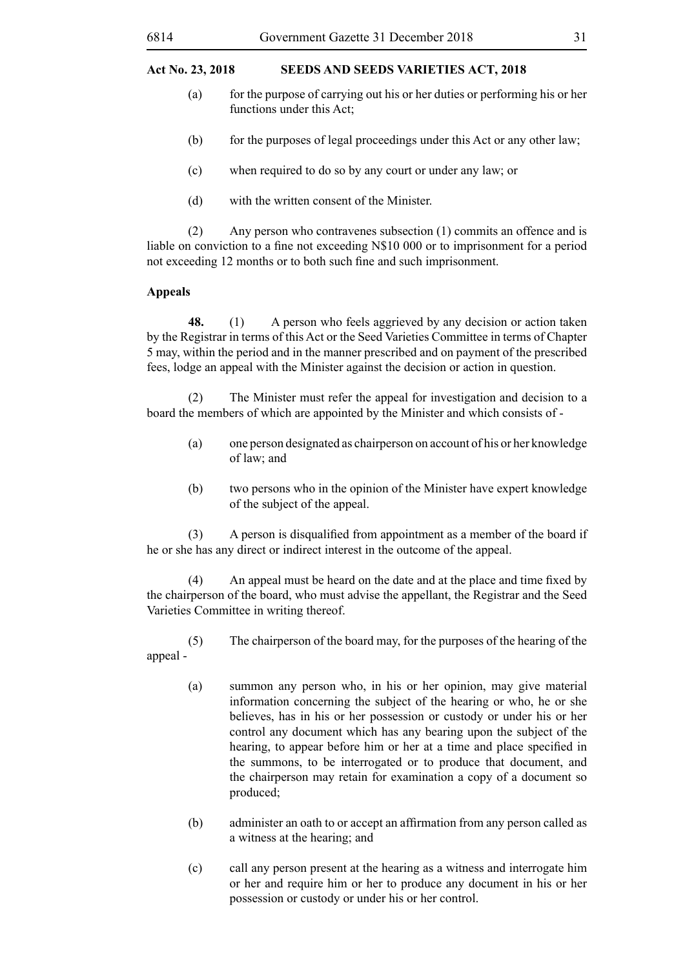- (a) for the purpose of carrying out his or her duties or performing his or her functions under this Act;
- (b) for the purposes of legal proceedings under this Act or any other law;
- (c) when required to do so by any court or under any law; or
- (d) with the written consent of the Minister.

(2) Any person who contravenes subsection (1) commits an offence and is liable on conviction to a fine not exceeding N\$10 000 or to imprisonment for a period not exceeding 12 months or to both such fine and such imprisonment.

#### **Appeals**

**48.** (1) A person who feels aggrieved by any decision or action taken by the Registrar in terms of this Act or the Seed Varieties Committee in terms of Chapter 5 may, within the period and in the manner prescribed and on payment of the prescribed fees, lodge an appeal with the Minister against the decision or action in question.

(2) The Minister must refer the appeal for investigation and decision to a board the members of which are appointed by the Minister and which consists of -

- (a) one person designated as chairperson on account of his or her knowledge of law; and
- (b) two persons who in the opinion of the Minister have expert knowledge of the subject of the appeal.

 (3) A person is disqualified from appointment as a member of the board if he or she has any direct or indirect interest in the outcome of the appeal.

 (4) An appeal must be heard on the date and at the place and time fixed by the chairperson of the board, who must advise the appellant, the Registrar and the Seed Varieties Committee in writing thereof.

(5) The chairperson of the board may, for the purposes of the hearing of the appeal -

- (a) summon any person who, in his or her opinion, may give material information concerning the subject of the hearing or who, he or she believes, has in his or her possession or custody or under his or her control any document which has any bearing upon the subject of the hearing, to appear before him or her at a time and place specified in the summons, to be interrogated or to produce that document, and the chairperson may retain for examination a copy of a document so produced;
- (b) administer an oath to or accept an affirmation from any person called as a witness at the hearing; and
- (c) call any person present at the hearing as a witness and interrogate him or her and require him or her to produce any document in his or her possession or custody or under his or her control.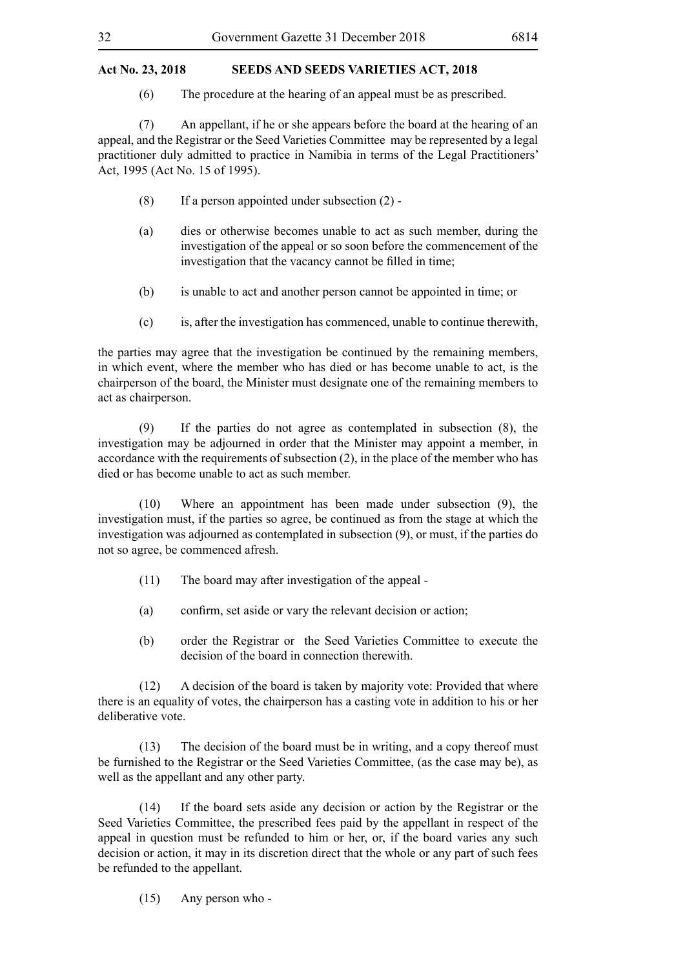(6) The procedure at the hearing of an appeal must be as prescribed.

(7) An appellant, if he or she appears before the board at the hearing of an appeal, and the Registrar or the Seed Varieties Committee may be represented by a legal practitioner duly admitted to practice in Namibia in terms of the Legal Practitioners' Act, 1995 (Act No. 15 of 1995).

- $(8)$  If a person appointed under subsection  $(2)$  -
- (a) dies or otherwise becomes unable to act as such member, during the investigation of the appeal or so soon before the commencement of the investigation that the vacancy cannot be filled in time;
- (b) is unable to act and another person cannot be appointed in time; or
- (c) is, after the investigation has commenced, unable to continue therewith,

the parties may agree that the investigation be continued by the remaining members, in which event, where the member who has died or has become unable to act, is the chairperson of the board, the Minister must designate one of the remaining members to act as chairperson.

(9) If the parties do not agree as contemplated in subsection (8), the investigation may be adjourned in order that the Minister may appoint a member, in accordance with the requirements of subsection (2), in the place of the member who has died or has become unable to act as such member.

(10) Where an appointment has been made under subsection (9), the investigation must, if the parties so agree, be continued as from the stage at which the investigation was adjourned as contemplated in subsection (9), or must, if the parties do not so agree, be commenced afresh.

- (11) The board may after investigation of the appeal -
- (a) confirm, set aside or vary the relevant decision or action;
- (b) order the Registrar or the Seed Varieties Committee to execute the decision of the board in connection therewith.

(12) A decision of the board is taken by majority vote: Provided that where there is an equality of votes, the chairperson has a casting vote in addition to his or her deliberative vote.

(13) The decision of the board must be in writing, and a copy thereof must be furnished to the Registrar or the Seed Varieties Committee, (as the case may be), as well as the appellant and any other party.

(14) If the board sets aside any decision or action by the Registrar or the Seed Varieties Committee, the prescribed fees paid by the appellant in respect of the appeal in question must be refunded to him or her, or, if the board varies any such decision or action, it may in its discretion direct that the whole or any part of such fees be refunded to the appellant.

(15) Any person who -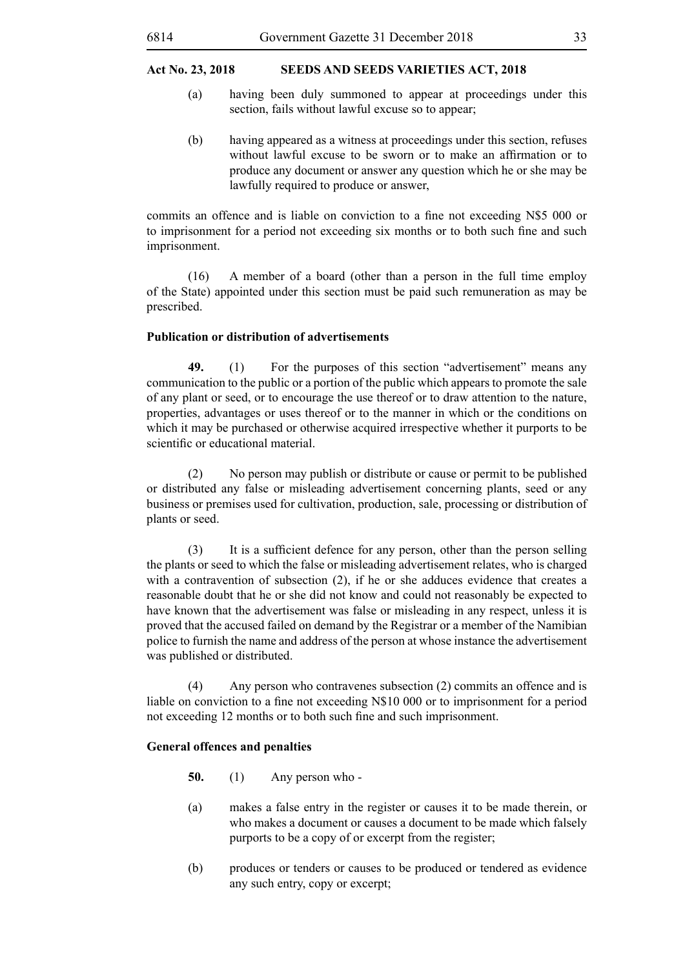- (a) having been duly summoned to appear at proceedings under this section, fails without lawful excuse so to appear;
- (b) having appeared as a witness at proceedings under this section, refuses without lawful excuse to be sworn or to make an affirmation or to produce any document or answer any question which he or she may be lawfully required to produce or answer,

commits an offence and is liable on conviction to a fine not exceeding N\$5 000 or to imprisonment for a period not exceeding six months or to both such fine and such imprisonment.

(16) A member of a board (other than a person in the full time employ of the State) appointed under this section must be paid such remuneration as may be prescribed.

#### **Publication or distribution of advertisements**

**49.** (1) For the purposes of this section "advertisement" means any communication to the public or a portion of the public which appears to promote the sale of any plant or seed, or to encourage the use thereof or to draw attention to the nature, properties, advantages or uses thereof or to the manner in which or the conditions on which it may be purchased or otherwise acquired irrespective whether it purports to be scientific or educational material.

(2) No person may publish or distribute or cause or permit to be published or distributed any false or misleading advertisement concerning plants, seed or any business or premises used for cultivation, production, sale, processing or distribution of plants or seed.

 (3) It is a sufficient defence for any person, other than the person selling the plants or seed to which the false or misleading advertisement relates, who is charged with a contravention of subsection (2), if he or she adduces evidence that creates a reasonable doubt that he or she did not know and could not reasonably be expected to have known that the advertisement was false or misleading in any respect, unless it is proved that the accused failed on demand by the Registrar or a member of the Namibian police to furnish the name and address of the person at whose instance the advertisement was published or distributed.

(4) Any person who contravenes subsection (2) commits an offence and is liable on conviction to a fine not exceeding N\$10 000 or to imprisonment for a period not exceeding 12 months or to both such fine and such imprisonment.

#### **General offences and penalties**

- **50.** (1) Any person who -
- (a) makes a false entry in the register or causes it to be made therein, or who makes a document or causes a document to be made which falsely purports to be a copy of or excerpt from the register;
- (b) produces or tenders or causes to be produced or tendered as evidence any such entry, copy or excerpt;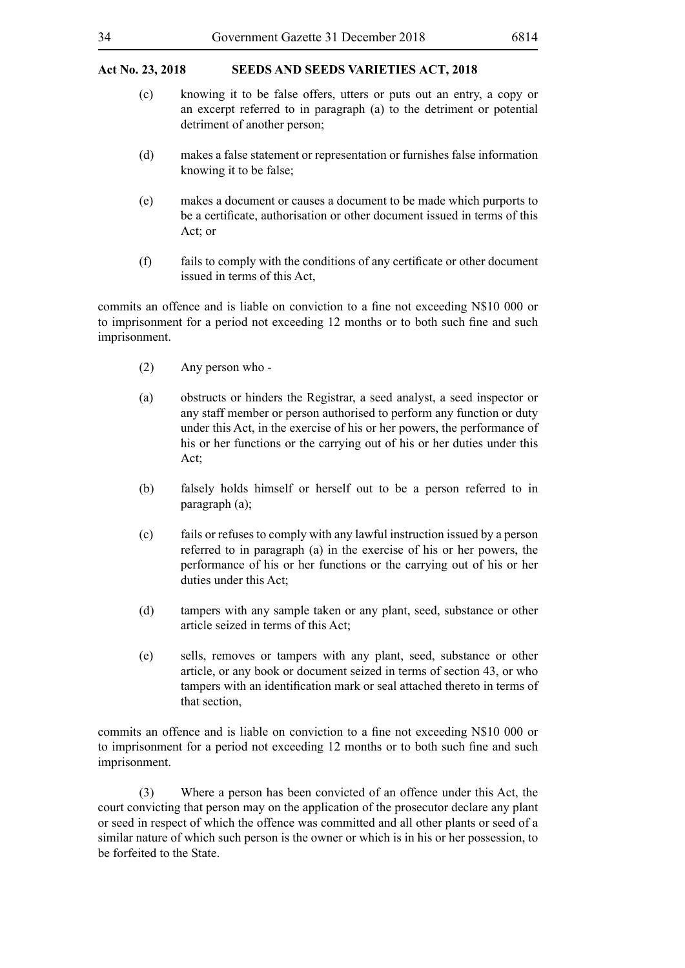- (c) knowing it to be false offers, utters or puts out an entry, a copy or an excerpt referred to in paragraph (a) to the detriment or potential detriment of another person;
- (d) makes a false statement or representation or furnishes false information knowing it to be false;
- (e) makes a document or causes a document to be made which purports to be a certificate, authorisation or other document issued in terms of this Act; or
- (f) fails to comply with the conditions of any certificate or other document issued in terms of this Act,

commits an offence and is liable on conviction to a fine not exceeding N\$10 000 or to imprisonment for a period not exceeding 12 months or to both such fine and such imprisonment.

- (2) Any person who -
- (a) obstructs or hinders the Registrar, a seed analyst, a seed inspector or any staff member or person authorised to perform any function or duty under this Act, in the exercise of his or her powers, the performance of his or her functions or the carrying out of his or her duties under this Act;
- (b) falsely holds himself or herself out to be a person referred to in paragraph (a);
- (c) fails or refuses to comply with any lawful instruction issued by a person referred to in paragraph (a) in the exercise of his or her powers, the performance of his or her functions or the carrying out of his or her duties under this Act;
- (d) tampers with any sample taken or any plant, seed, substance or other article seized in terms of this Act;
- (e) sells, removes or tampers with any plant, seed, substance or other article, or any book or document seized in terms of section 43, or who tampers with an identification mark or seal attached thereto in terms of that section,

commits an offence and is liable on conviction to a fine not exceeding N\$10 000 or to imprisonment for a period not exceeding 12 months or to both such fine and such imprisonment.

(3) Where a person has been convicted of an offence under this Act, the court convicting that person may on the application of the prosecutor declare any plant or seed in respect of which the offence was committed and all other plants or seed of a similar nature of which such person is the owner or which is in his or her possession, to be forfeited to the State.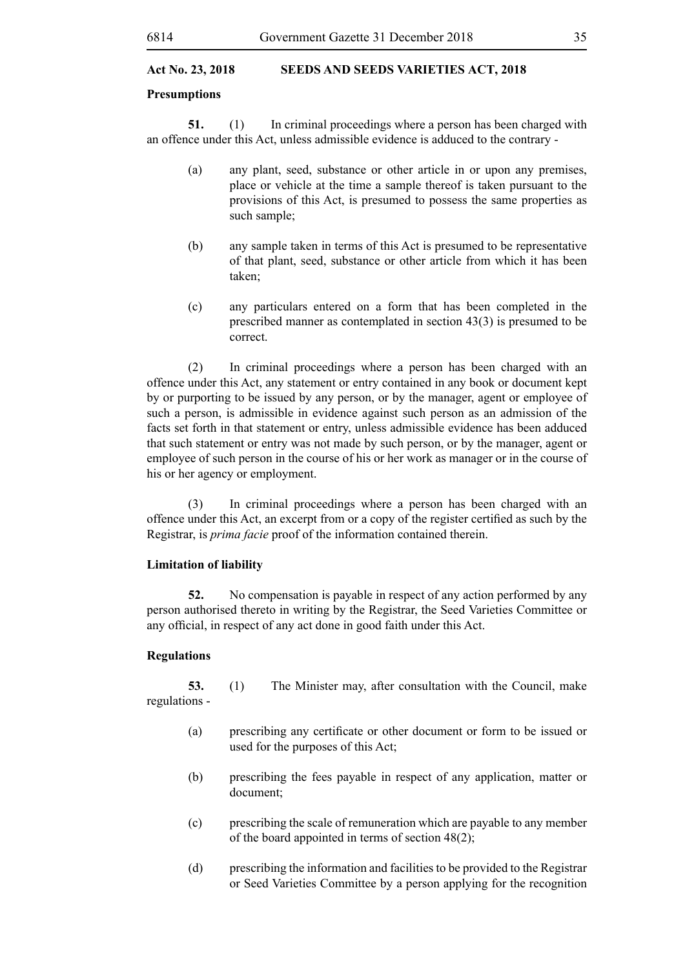#### **Presumptions**

**51.** (1) In criminal proceedings where a person has been charged with an offence under this Act, unless admissible evidence is adduced to the contrary -

- (a) any plant, seed, substance or other article in or upon any premises, place or vehicle at the time a sample thereof is taken pursuant to the provisions of this Act, is presumed to possess the same properties as such sample;
- (b) any sample taken in terms of this Act is presumed to be representative of that plant, seed, substance or other article from which it has been taken;
- (c) any particulars entered on a form that has been completed in the prescribed manner as contemplated in section 43(3) is presumed to be correct.

(2) In criminal proceedings where a person has been charged with an offence under this Act, any statement or entry contained in any book or document kept by or purporting to be issued by any person, or by the manager, agent or employee of such a person, is admissible in evidence against such person as an admission of the facts set forth in that statement or entry, unless admissible evidence has been adduced that such statement or entry was not made by such person, or by the manager, agent or employee of such person in the course of his or her work as manager or in the course of his or her agency or employment.

(3) In criminal proceedings where a person has been charged with an offence under this Act, an excerpt from or a copy of the register certified as such by the Registrar, is *prima facie* proof of the information contained therein.

#### **Limitation of liability**

**52.** No compensation is payable in respect of any action performed by any person authorised thereto in writing by the Registrar, the Seed Varieties Committee or any official, in respect of any act done in good faith under this Act.

#### **Regulations**

**53.** (1) The Minister may, after consultation with the Council, make regulations -

- (a) prescribing any certificate or other document or form to be issued or used for the purposes of this Act;
- (b) prescribing the fees payable in respect of any application, matter or document;
- (c) prescribing the scale of remuneration which are payable to any member of the board appointed in terms of section 48(2);
- (d) prescribing the information and facilities to be provided to the Registrar or Seed Varieties Committee by a person applying for the recognition